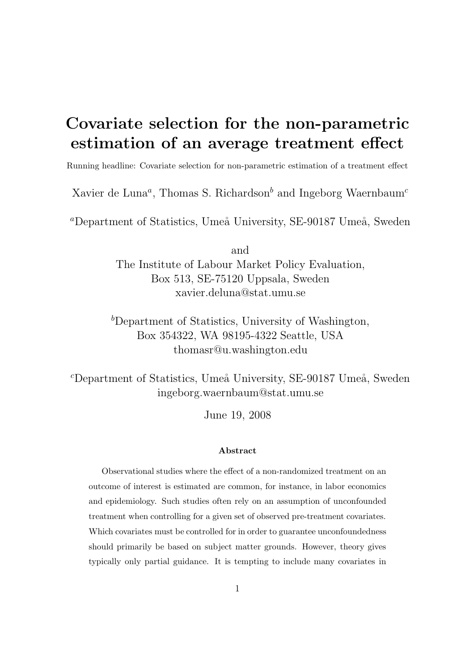# Covariate selection for the non-parametric estimation of an average treatment effect

Running headline: Covariate selection for non-parametric estimation of a treatment effect

Xavier de Luna<sup>a</sup>, Thomas S. Richardson<sup>b</sup> and Ingeborg Waernbaum<sup>c</sup>

<sup>a</sup>Department of Statistics, Umeå University, SE-90187 Umeå, Sweden

and The Institute of Labour Market Policy Evaluation, Box 513, SE-75120 Uppsala, Sweden xavier.deluna@stat.umu.se

 $b$ Department of Statistics, University of Washington, Box 354322, WA 98195-4322 Seattle, USA thomasr@u.washington.edu

 $c$ Department of Statistics, Umeå University, SE-90187 Umeå, Sweden ingeborg.waernbaum@stat.umu.se

June 19, 2008

#### Abstract

Observational studies where the effect of a non-randomized treatment on an outcome of interest is estimated are common, for instance, in labor economics and epidemiology. Such studies often rely on an assumption of unconfounded treatment when controlling for a given set of observed pre-treatment covariates. Which covariates must be controlled for in order to guarantee unconfoundedness should primarily be based on subject matter grounds. However, theory gives typically only partial guidance. It is tempting to include many covariates in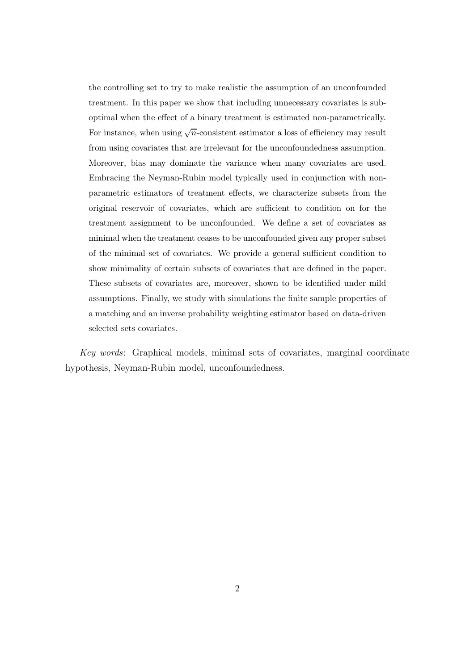the controlling set to try to make realistic the assumption of an unconfounded treatment. In this paper we show that including unnecessary covariates is suboptimal when the effect of a binary treatment is estimated non-parametrically. For instance, when using  $\sqrt{n}$ -consistent estimator a loss of efficiency may result from using covariates that are irrelevant for the unconfoundedness assumption. Moreover, bias may dominate the variance when many covariates are used. Embracing the Neyman-Rubin model typically used in conjunction with nonparametric estimators of treatment effects, we characterize subsets from the original reservoir of covariates, which are sufficient to condition on for the treatment assignment to be unconfounded. We define a set of covariates as minimal when the treatment ceases to be unconfounded given any proper subset of the minimal set of covariates. We provide a general sufficient condition to show minimality of certain subsets of covariates that are defined in the paper. These subsets of covariates are, moreover, shown to be identified under mild assumptions. Finally, we study with simulations the finite sample properties of a matching and an inverse probability weighting estimator based on data-driven selected sets covariates.

Key words: Graphical models, minimal sets of covariates, marginal coordinate hypothesis, Neyman-Rubin model, unconfoundedness.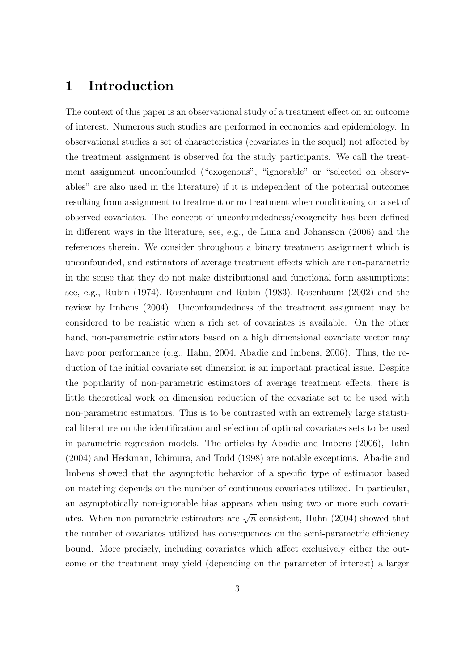# 1 Introduction

The context of this paper is an observational study of a treatment effect on an outcome of interest. Numerous such studies are performed in economics and epidemiology. In observational studies a set of characteristics (covariates in the sequel) not affected by the treatment assignment is observed for the study participants. We call the treatment assignment unconfounded ("exogenous", "ignorable" or "selected on observables" are also used in the literature) if it is independent of the potential outcomes resulting from assignment to treatment or no treatment when conditioning on a set of observed covariates. The concept of unconfoundedness/exogeneity has been defined in different ways in the literature, see, e.g., de Luna and Johansson (2006) and the references therein. We consider throughout a binary treatment assignment which is unconfounded, and estimators of average treatment effects which are non-parametric in the sense that they do not make distributional and functional form assumptions; see, e.g., Rubin (1974), Rosenbaum and Rubin (1983), Rosenbaum (2002) and the review by Imbens (2004). Unconfoundedness of the treatment assignment may be considered to be realistic when a rich set of covariates is available. On the other hand, non-parametric estimators based on a high dimensional covariate vector may have poor performance (e.g., Hahn, 2004, Abadie and Imbens, 2006). Thus, the reduction of the initial covariate set dimension is an important practical issue. Despite the popularity of non-parametric estimators of average treatment effects, there is little theoretical work on dimension reduction of the covariate set to be used with non-parametric estimators. This is to be contrasted with an extremely large statistical literature on the identification and selection of optimal covariates sets to be used in parametric regression models. The articles by Abadie and Imbens (2006), Hahn (2004) and Heckman, Ichimura, and Todd (1998) are notable exceptions. Abadie and Imbens showed that the asymptotic behavior of a specific type of estimator based on matching depends on the number of continuous covariates utilized. In particular, an asymptotically non-ignorable bias appears when using two or more such covariates. When non-parametric estimators are  $\sqrt{n}$ -consistent, Hahn (2004) showed that the number of covariates utilized has consequences on the semi-parametric efficiency bound. More precisely, including covariates which affect exclusively either the outcome or the treatment may yield (depending on the parameter of interest) a larger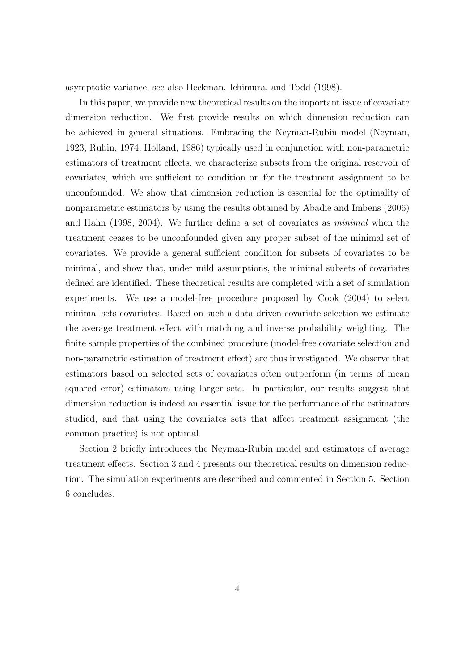asymptotic variance, see also Heckman, Ichimura, and Todd (1998).

In this paper, we provide new theoretical results on the important issue of covariate dimension reduction. We first provide results on which dimension reduction can be achieved in general situations. Embracing the Neyman-Rubin model (Neyman, 1923, Rubin, 1974, Holland, 1986) typically used in conjunction with non-parametric estimators of treatment effects, we characterize subsets from the original reservoir of covariates, which are sufficient to condition on for the treatment assignment to be unconfounded. We show that dimension reduction is essential for the optimality of nonparametric estimators by using the results obtained by Abadie and Imbens (2006) and Hahn (1998, 2004). We further define a set of covariates as minimal when the treatment ceases to be unconfounded given any proper subset of the minimal set of covariates. We provide a general sufficient condition for subsets of covariates to be minimal, and show that, under mild assumptions, the minimal subsets of covariates defined are identified. These theoretical results are completed with a set of simulation experiments. We use a model-free procedure proposed by Cook (2004) to select minimal sets covariates. Based on such a data-driven covariate selection we estimate the average treatment effect with matching and inverse probability weighting. The finite sample properties of the combined procedure (model-free covariate selection and non-parametric estimation of treatment effect) are thus investigated. We observe that estimators based on selected sets of covariates often outperform (in terms of mean squared error) estimators using larger sets. In particular, our results suggest that dimension reduction is indeed an essential issue for the performance of the estimators studied, and that using the covariates sets that affect treatment assignment (the common practice) is not optimal.

Section 2 briefly introduces the Neyman-Rubin model and estimators of average treatment effects. Section 3 and 4 presents our theoretical results on dimension reduction. The simulation experiments are described and commented in Section 5. Section 6 concludes.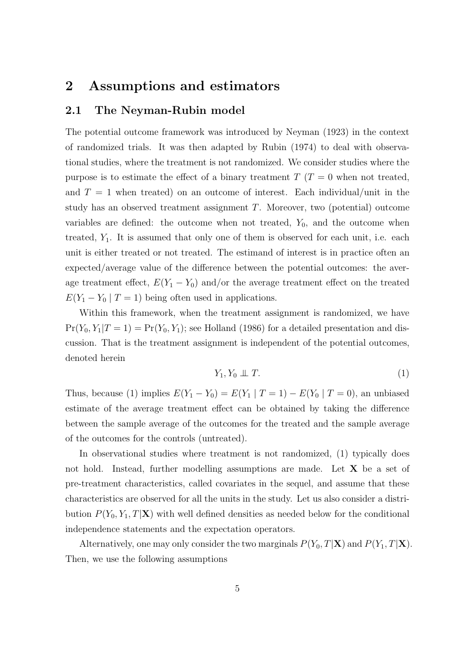# 2 Assumptions and estimators

### 2.1 The Neyman-Rubin model

The potential outcome framework was introduced by Neyman (1923) in the context of randomized trials. It was then adapted by Rubin (1974) to deal with observational studies, where the treatment is not randomized. We consider studies where the purpose is to estimate the effect of a binary treatment  $T(T = 0$  when not treated, and  $T = 1$  when treated) on an outcome of interest. Each individual/unit in the study has an observed treatment assignment T. Moreover, two (potential) outcome variables are defined: the outcome when not treated,  $Y_0$ , and the outcome when treated,  $Y_1$ . It is assumed that only one of them is observed for each unit, i.e. each unit is either treated or not treated. The estimand of interest is in practice often an expected/average value of the difference between the potential outcomes: the average treatment effect,  $E(Y_1 - Y_0)$  and/or the average treatment effect on the treated  $E(Y_1 - Y_0 \mid T = 1)$  being often used in applications.

Within this framework, when the treatment assignment is randomized, we have  $Pr(Y_0, Y_1|T=1) = Pr(Y_0, Y_1)$ ; see Holland (1986) for a detailed presentation and discussion. That is the treatment assignment is independent of the potential outcomes, denoted herein

$$
Y_1, Y_0 \perp \!\!\! \perp T. \tag{1}
$$

Thus, because (1) implies  $E(Y_1 - Y_0) = E(Y_1 | T = 1) - E(Y_0 | T = 0)$ , an unbiased estimate of the average treatment effect can be obtained by taking the difference between the sample average of the outcomes for the treated and the sample average of the outcomes for the controls (untreated).

In observational studies where treatment is not randomized, (1) typically does not hold. Instead, further modelling assumptions are made. Let **X** be a set of pre-treatment characteristics, called covariates in the sequel, and assume that these characteristics are observed for all the units in the study. Let us also consider a distribution  $P(Y_0, Y_1, T|\mathbf{X})$  with well defined densities as needed below for the conditional independence statements and the expectation operators.

Alternatively, one may only consider the two marginals  $P(Y_0, T|\mathbf{X})$  and  $P(Y_1, T|\mathbf{X})$ . Then, we use the following assumptions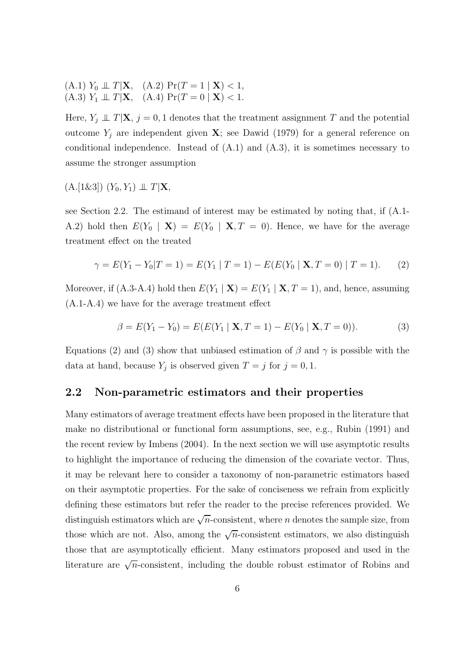(A.1)  $Y_0 \perp \!\!\! \perp T | \mathbf{X}, \quad (A.2) \Pr(T = 1 | \mathbf{X}) < 1,$ (A.3)  $Y_1 \perp \!\!\! \perp T | \mathbf{X}, \text{ (A.4) } Pr(T = 0 | \mathbf{X}) < 1.$ 

Here,  $Y_j \perp \!\!\!\perp T|\mathbf{X}, j=0,1$  denotes that the treatment assignment T and the potential outcome  $Y_j$  are independent given **X**; see Dawid (1979) for a general reference on conditional independence. Instead of  $(A.1)$  and  $(A.3)$ , it is sometimes necessary to assume the stronger assumption

 $(A.[1\&3]) (Y_0, Y_1) \perp \!\!\! \perp T|\mathbf{X},$ 

see Section 2.2. The estimand of interest may be estimated by noting that, if (A.1- A.2) hold then  $E(Y_0 \mid \mathbf{X}) = E(Y_0 \mid \mathbf{X}, T = 0)$ . Hence, we have for the average treatment effect on the treated

$$
\gamma = E(Y_1 - Y_0 | T = 1) = E(Y_1 | T = 1) - E(E(Y_0 | \mathbf{X}, T = 0) | T = 1). \tag{2}
$$

Moreover, if (A.3-A.4) hold then  $E(Y_1 | \mathbf{X}) = E(Y_1 | \mathbf{X}, T = 1)$ , and, hence, assuming (A.1-A.4) we have for the average treatment effect

$$
\beta = E(Y_1 - Y_0) = E(E(Y_1 | \mathbf{X}, T = 1) - E(Y_0 | \mathbf{X}, T = 0)).
$$
\n(3)

Equations (2) and (3) show that unbiased estimation of  $\beta$  and  $\gamma$  is possible with the data at hand, because  $Y_j$  is observed given  $T = j$  for  $j = 0, 1$ .

### 2.2 Non-parametric estimators and their properties

Many estimators of average treatment effects have been proposed in the literature that make no distributional or functional form assumptions, see, e.g., Rubin (1991) and the recent review by Imbens (2004). In the next section we will use asymptotic results to highlight the importance of reducing the dimension of the covariate vector. Thus, it may be relevant here to consider a taxonomy of non-parametric estimators based on their asymptotic properties. For the sake of conciseness we refrain from explicitly defining these estimators but refer the reader to the precise references provided. We distinguish estimators which are  $\sqrt{n}$ -consistent, where *n* denotes the sample size, from those which are not. Also, among the  $\sqrt{n}$ -consistent estimators, we also distinguish those that are asymptotically efficient. Many estimators proposed and used in the literature are  $\sqrt{n}$ -consistent, including the double robust estimator of Robins and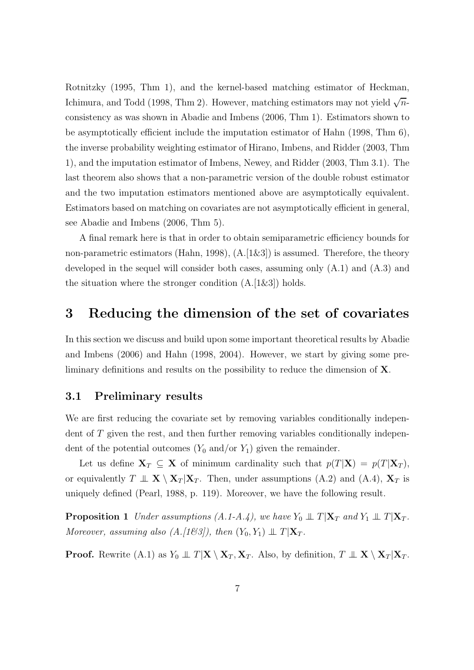Rotnitzky (1995, Thm 1), and the kernel-based matching estimator of Heckman, Ichimura, and Todd (1998, Thm 2). However, matching estimators may not yield  $\sqrt{n}$ consistency as was shown in Abadie and Imbens (2006, Thm 1). Estimators shown to be asymptotically efficient include the imputation estimator of Hahn (1998, Thm 6), the inverse probability weighting estimator of Hirano, Imbens, and Ridder (2003, Thm 1), and the imputation estimator of Imbens, Newey, and Ridder (2003, Thm 3.1). The last theorem also shows that a non-parametric version of the double robust estimator and the two imputation estimators mentioned above are asymptotically equivalent. Estimators based on matching on covariates are not asymptotically efficient in general, see Abadie and Imbens (2006, Thm 5).

A final remark here is that in order to obtain semiparametric efficiency bounds for non-parametric estimators (Hahn, 1998),  $(A.[1\&3])$  is assumed. Therefore, the theory developed in the sequel will consider both cases, assuming only (A.1) and (A.3) and the situation where the stronger condition  $(A.[1\&3])$  holds.

# 3 Reducing the dimension of the set of covariates

In this section we discuss and build upon some important theoretical results by Abadie and Imbens (2006) and Hahn (1998, 2004). However, we start by giving some preliminary definitions and results on the possibility to reduce the dimension of X.

### 3.1 Preliminary results

We are first reducing the covariate set by removing variables conditionally independent of T given the rest, and then further removing variables conditionally independent of the potential outcomes  $(Y_0 \text{ and/or } Y_1)$  given the remainder.

Let us define  $X_T \subseteq X$  of minimum cardinality such that  $p(T|X) = p(T|X_T)$ , or equivalently  $T \perp \!\!\!\perp X \setminus X_T | X_T$ . Then, under assumptions (A.2) and (A.4),  $X_T$  is uniquely defined (Pearl, 1988, p. 119). Moreover, we have the following result.

**Proposition 1** Under assumptions (A.1-A.4), we have  $Y_0 \perp \!\!\!\perp T | \mathbf{X}_T$  and  $Y_1 \perp \!\!\!\perp T | \mathbf{X}_T$ . Moreover, assuming also (A.[1&3]), then  $(Y_0, Y_1) \perp \perp T | \mathbf{X}_T$ .

**Proof.** Rewrite (A.1) as  $Y_0 \perp \!\!\!\perp T|\mathbf{X} \setminus \mathbf{X}_T, \mathbf{X}_T$ . Also, by definition,  $T \perp \!\!\!\perp \mathbf{X} \setminus \mathbf{X}_T | \mathbf{X}_T$ .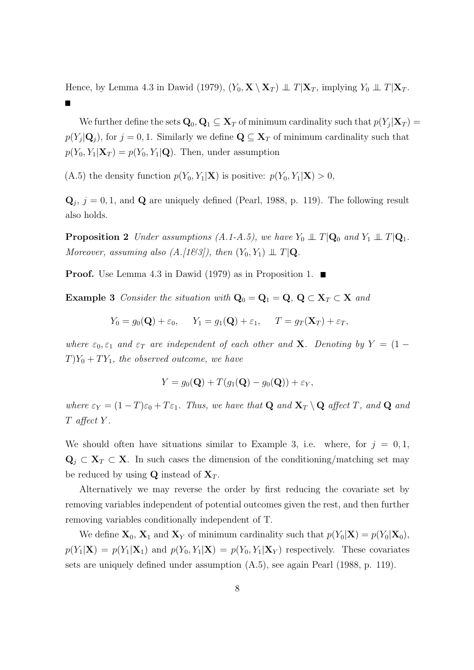Hence, by Lemma 4.3 in Dawid (1979),  $(Y_0, \mathbf{X} \setminus \mathbf{X}_T) \perp \perp T | \mathbf{X}_T$ , implying  $Y_0 \perp \perp T | \mathbf{X}_T$ .

We further define the sets  $\mathbf{Q}_0, \mathbf{Q}_1 \subseteq \mathbf{X}_T$  of minimum cardinality such that  $p(Y_j|\mathbf{X}_T) =$  $p(Y_j|\mathbf{Q}_j)$ , for  $j = 0, 1$ . Similarly we define  $\mathbf{Q} \subseteq \mathbf{X}_T$  of minimum cardinality such that  $p(Y_0, Y_1 | \mathbf{X}_T) = p(Y_0, Y_1 | \mathbf{Q})$ . Then, under assumption

(A.5) the density function  $p(Y_0, Y_1|\mathbf{X})$  is positive:  $p(Y_0, Y_1|\mathbf{X}) > 0$ ,

 $\mathbf{Q}_j$ ,  $j = 0, 1$ , and  $\mathbf{Q}$  are uniquely defined (Pearl, 1988, p. 119). The following result also holds.

**Proposition 2** Under assumptions  $(A.1-A.5)$ , we have  $Y_0 \perp \hspace*{-0.1cm} \perp T|\mathbf{Q}_0$  and  $Y_1 \perp \hspace*{-0.1cm} \perp T|\mathbf{Q}_1$ . Moreover, assuming also  $(A.[163])$ , then  $(Y_0, Y_1) \perp \perp T | Q$ .

**Proof.** Use Lemma 4.3 in Dawid (1979) as in Proposition 1.  $\blacksquare$ 

Example 3 Consider the situation with  $Q_0 = Q_1 = Q$ ,  $Q \subset X_T \subset X$  and

$$
Y_0 = g_0(\mathbf{Q}) + \varepsilon_0, \quad Y_1 = g_1(\mathbf{Q}) + \varepsilon_1, \quad T = g_T(\mathbf{X}_T) + \varepsilon_T,
$$

where  $\varepsilon_0$ ,  $\varepsilon_1$  and  $\varepsilon_T$  are independent of each other and **X**. Denoting by  $Y = (1 T$  $Y_0 + TY_1$ , the observed outcome, we have

$$
Y = g_0(\mathbf{Q}) + T(g_1(\mathbf{Q}) - g_0(\mathbf{Q})) + \varepsilon_Y,
$$

where  $\varepsilon_Y = (1 - T)\varepsilon_0 + T\varepsilon_1$ . Thus, we have that **Q** and  $\mathbf{X}_T \setminus \mathbf{Q}$  affect T, and **Q** and T affect Y .

We should often have situations similar to Example 3, i.e. where, for  $j = 0, 1$ ,  $\mathbf{Q}_i \subset \mathbf{X}_T \subset \mathbf{X}$ . In such cases the dimension of the conditioning/matching set may be reduced by using **Q** instead of  $X_T$ .

Alternatively we may reverse the order by first reducing the covariate set by removing variables independent of potential outcomes given the rest, and then further removing variables conditionally independent of T.

We define  $X_0$ ,  $X_1$  and  $X_Y$  of minimum cardinality such that  $p(Y_0|\mathbf{X}) = p(Y_0|\mathbf{X}_0)$ ,  $p(Y_1|\mathbf{X}) = p(Y_1|\mathbf{X}_1)$  and  $p(Y_0, Y_1|\mathbf{X}) = p(Y_0, Y_1|\mathbf{X}_Y)$  respectively. These covariates sets are uniquely defined under assumption (A.5), see again Pearl (1988, p. 119).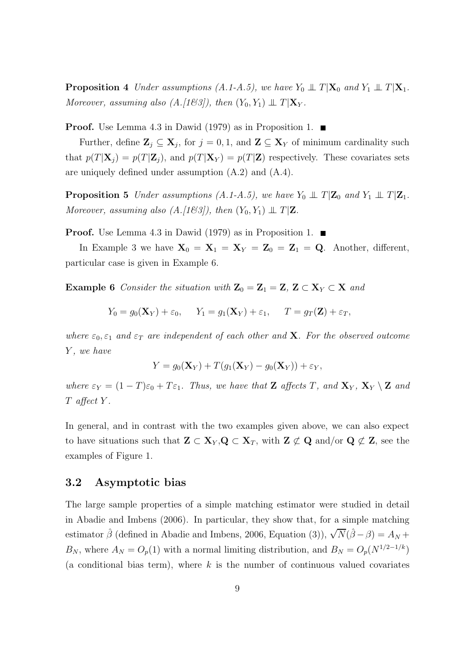**Proposition 4** Under assumptions  $(A.1-A.5)$ , we have  $Y_0 \perp \hspace*{-0.1cm} \perp T|\mathbf{X}_0$  and  $Y_1 \perp \hspace*{-0.1cm} \perp T|\mathbf{X}_1$ . Moreover, assuming also  $(A.[163]),$  then  $(Y_0, Y_1) \perp \perp T|\mathbf{X}_Y$ .

**Proof.** Use Lemma 4.3 in Dawid (1979) as in Proposition 1.  $\blacksquare$ 

Further, define  $\mathbf{Z}_j \subseteq \mathbf{X}_j$ , for  $j = 0, 1$ , and  $\mathbf{Z} \subseteq \mathbf{X}_Y$  of minimum cardinality such that  $p(T|\mathbf{X}_i) = p(T|\mathbf{Z}_i)$ , and  $p(T|\mathbf{X}_Y) = p(T|\mathbf{Z})$  respectively. These covariates sets are uniquely defined under assumption (A.2) and (A.4).

**Proposition 5** Under assumptions (A.1-A.5), we have  $Y_0 \perp \hspace{-0.1cm} \perp T|\mathbf{Z}_0$  and  $Y_1 \perp \hspace{-0.1cm} \perp T|\mathbf{Z}_1$ . Moreover, assuming also  $(A.[1\&3])$ , then  $(Y_0, Y_1) \perp \perp T|\mathbf{Z}$ .

**Proof.** Use Lemma 4.3 in Dawid (1979) as in Proposition 1.  $\blacksquare$ 

In Example 3 we have  $X_0 = X_1 = X_Y = Z_0 = Z_1 = Q$ . Another, different, particular case is given in Example 6.

Example 6 Consider the situation with  $\mathbf{Z}_0 = \mathbf{Z}_1 = \mathbf{Z}, \mathbf{Z} \subset \mathbf{X}_Y \subset \mathbf{X}$  and

$$
Y_0 = g_0(\mathbf{X}_Y) + \varepsilon_0, \quad Y_1 = g_1(\mathbf{X}_Y) + \varepsilon_1, \quad T = g_T(\mathbf{Z}) + \varepsilon_T,
$$

where  $\varepsilon_0$ ,  $\varepsilon_1$  and  $\varepsilon_T$  are independent of each other and **X**. For the observed outcome Y, we have

$$
Y = g_0(\mathbf{X}_Y) + T(g_1(\mathbf{X}_Y) - g_0(\mathbf{X}_Y)) + \varepsilon_Y,
$$

where  $\varepsilon_Y = (1 - T)\varepsilon_0 + T\varepsilon_1$ . Thus, we have that **Z** affects T, and  $\mathbf{X}_Y$ ,  $\mathbf{X}_Y \setminus \mathbf{Z}$  and T affect Y .

In general, and in contrast with the two examples given above, we can also expect to have situations such that  $\mathbf{Z} \subset \mathbf{X}_Y, \mathbf{Q} \subset \mathbf{X}_T$ , with  $\mathbf{Z} \not\subset \mathbf{Q}$  and/or  $\mathbf{Q} \not\subset \mathbf{Z}$ , see the examples of Figure 1.

### 3.2 Asymptotic bias

The large sample properties of a simple matching estimator were studied in detail in Abadie and Imbens (2006). In particular, they show that, for a simple matching estimator  $\hat{\beta}$  (defined in Abadie and Imbens, 2006, Equation (3)),  $\sqrt{N}(\hat{\beta} - \beta) = A_N +$  $B_N$ , where  $A_N = O_p(1)$  with a normal limiting distribution, and  $B_N = O_p(N^{1/2-1/k})$ (a conditional bias term), where  $k$  is the number of continuous valued covariates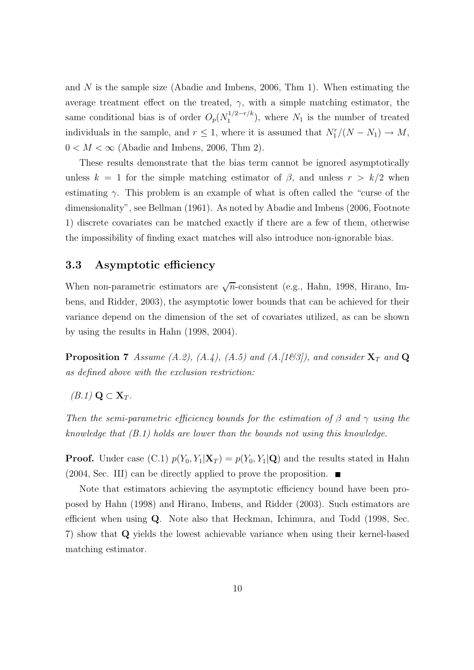and N is the sample size (Abadie and Imbens, 2006, Thm 1). When estimating the average treatment effect on the treated,  $\gamma$ , with a simple matching estimator, the same conditional bias is of order  $O_p(N_1^{1/2-r/k})$  $1^{1/2-r/k}$ , where  $N_1$  is the number of treated individuals in the sample, and  $r \leq 1$ , where it is assumed that  $N_1^r/(N - N_1) \to M$ ,  $0 < M < \infty$  (Abadie and Imbens, 2006, Thm 2).

These results demonstrate that the bias term cannot be ignored asymptotically unless  $k = 1$  for the simple matching estimator of  $\beta$ , and unless  $r > k/2$  when estimating  $\gamma$ . This problem is an example of what is often called the "curse of the dimensionality", see Bellman (1961). As noted by Abadie and Imbens (2006, Footnote 1) discrete covariates can be matched exactly if there are a few of them, otherwise the impossibility of finding exact matches will also introduce non-ignorable bias.

### 3.3 Asymptotic efficiency

When non-parametric estimators are  $\sqrt{n}$ -consistent (e.g., Hahn, 1998, Hirano, Imbens, and Ridder, 2003), the asymptotic lower bounds that can be achieved for their variance depend on the dimension of the set of covariates utilized, as can be shown by using the results in Hahn (1998, 2004).

**Proposition 7** Assume (A.2), (A.4), (A.5) and (A.[163]), and consider  $X_T$  and Q as defined above with the exclusion restriction:

$$
(B.1)\mathbf{Q}\subset \mathbf{X}_T.
$$

Then the semi-parametric efficiency bounds for the estimation of  $\beta$  and  $\gamma$  using the knowledge that (B.1) holds are lower than the bounds not using this knowledge.

**Proof.** Under case (C.1)  $p(Y_0, Y_1 | \mathbf{X}_T) = p(Y_0, Y_1 | \mathbf{Q})$  and the results stated in Hahn  $(2004, \text{Sec. III})$  can be directly applied to prove the proposition.

Note that estimators achieving the asymptotic efficiency bound have been proposed by Hahn (1998) and Hirano, Imbens, and Ridder (2003). Such estimators are efficient when using Q. Note also that Heckman, Ichimura, and Todd (1998, Sec. 7) show that Q yields the lowest achievable variance when using their kernel-based matching estimator.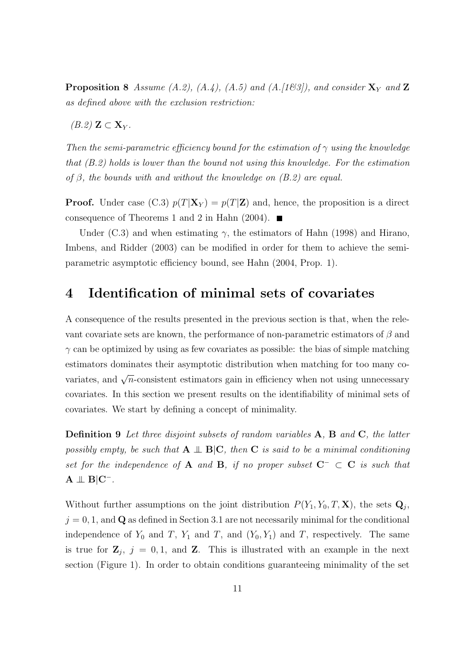**Proposition 8** Assume (A.2), (A.4), (A.5) and (A.[163]), and consider  $X<sub>Y</sub>$  and  $Z$ as defined above with the exclusion restriction:

 $(B.2)$  Z  $\subset$  X<sub>Y</sub>.

Then the semi-parametric efficiency bound for the estimation of  $\gamma$  using the knowledge that (B.2) holds is lower than the bound not using this knowledge. For the estimation of  $\beta$ , the bounds with and without the knowledge on  $(B.2)$  are equal.

**Proof.** Under case (C.3)  $p(T|\mathbf{X}_Y) = p(T|\mathbf{Z})$  and, hence, the proposition is a direct consequence of Theorems 1 and 2 in Hahn (2004).  $\blacksquare$ 

Under (C.3) and when estimating  $\gamma$ , the estimators of Hahn (1998) and Hirano, Imbens, and Ridder (2003) can be modified in order for them to achieve the semiparametric asymptotic efficiency bound, see Hahn (2004, Prop. 1).

### 4 Identification of minimal sets of covariates

A consequence of the results presented in the previous section is that, when the relevant covariate sets are known, the performance of non-parametric estimators of  $\beta$  and  $\gamma$  can be optimized by using as few covariates as possible: the bias of simple matching estimators dominates their asymptotic distribution when matching for too many covariates, and  $\sqrt{n}$ -consistent estimators gain in efficiency when not using unnecessary covariates. In this section we present results on the identifiability of minimal sets of covariates. We start by defining a concept of minimality.

Definition 9 Let three disjoint subsets of random variables A, B and C, the latter possibly empty, be such that  $A \perp B|C$ , then C is said to be a minimal conditioning set for the independence of A and B, if no proper subset  $C^- \subset C$  is such that  $A \perp\!\!\!\perp B|C^-$ .

Without further assumptions on the joint distribution  $P(Y_1, Y_0, T, \mathbf{X})$ , the sets  $\mathbf{Q}_j$ ,  $j = 0, 1$ , and Q as defined in Section 3.1 are not necessarily minimal for the conditional independence of  $Y_0$  and  $T$ ,  $Y_1$  and  $T$ , and  $(Y_0, Y_1)$  and  $T$ , respectively. The same is true for  $\mathbf{Z}_j$ ,  $j = 0, 1$ , and  $\mathbf{Z}$ . This is illustrated with an example in the next section (Figure 1). In order to obtain conditions guaranteeing minimality of the set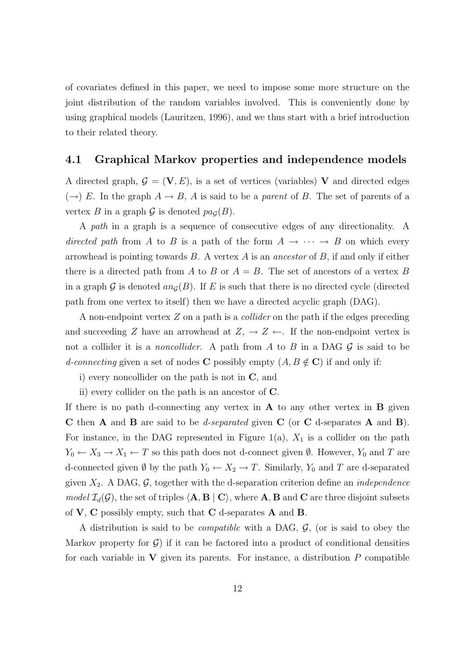of covariates defined in this paper, we need to impose some more structure on the joint distribution of the random variables involved. This is conveniently done by using graphical models (Lauritzen, 1996), and we thus start with a brief introduction to their related theory.

### 4.1 Graphical Markov properties and independence models

A directed graph,  $\mathcal{G} = (\mathbf{V}, E)$ , is a set of vertices (variables) V and directed edges  $(\rightarrow)$  E. In the graph  $A \rightarrow B$ , A is said to be a parent of B. The set of parents of a vertex B in a graph  $\mathcal G$  is denoted  $pa_{\mathcal G}(B)$ .

A path in a graph is a sequence of consecutive edges of any directionality. A directed path from A to B is a path of the form  $A \rightarrow \cdots \rightarrow B$  on which every arrowhead is pointing towards  $B$ . A vertex  $A$  is an ancestor of  $B$ , if and only if either there is a directed path from A to B or  $A = B$ . The set of ancestors of a vertex B in a graph G is denoted  $an_G(B)$ . If E is such that there is no directed cycle (directed path from one vertex to itself) then we have a directed acyclic graph (DAG).

A non-endpoint vertex Z on a path is a collider on the path if the edges preceding and succeeding Z have an arrowhead at  $Z, \rightarrow Z \leftarrow$ . If the non-endpoint vertex is not a collider it is a *noncollider*. A path from A to B in a DAG  $\mathcal G$  is said to be d-connecting given a set of nodes C possibly empty  $(A, B \notin C)$  if and only if:

i) every noncollider on the path is not in C, and

ii) every collider on the path is an ancestor of C.

If there is no path d-connecting any vertex in  $A$  to any other vertex in  $B$  given C then A and B are said to be d-separated given C (or C d-separates A and B). For instance, in the DAG represented in Figure 1(a),  $X_1$  is a collider on the path  $Y_0 \leftarrow X_3 \rightarrow X_1 \leftarrow T$  so this path does not d-connect given  $\emptyset$ . However,  $Y_0$  and T are d-connected given  $\emptyset$  by the path  $Y_0 \leftarrow X_2 \rightarrow T$ . Similarly,  $Y_0$  and T are d-separated given  $X_2$ . A DAG,  $\mathcal{G}$ , together with the d-separation criterion define an *independence* model  $\mathcal{I}_d(\mathcal{G})$ , the set of triples  $\langle A, B | C \rangle$ , where A, B and C are three disjoint subsets of  $V$ ,  $C$  possibly empty, such that  $C$  d-separates  $A$  and  $B$ .

A distribution is said to be *compatible* with a DAG,  $G$ , (or is said to obey the Markov property for  $\mathcal{G}$ ) if it can be factored into a product of conditional densities for each variable in  $\bf{V}$  given its parents. For instance, a distribution P compatible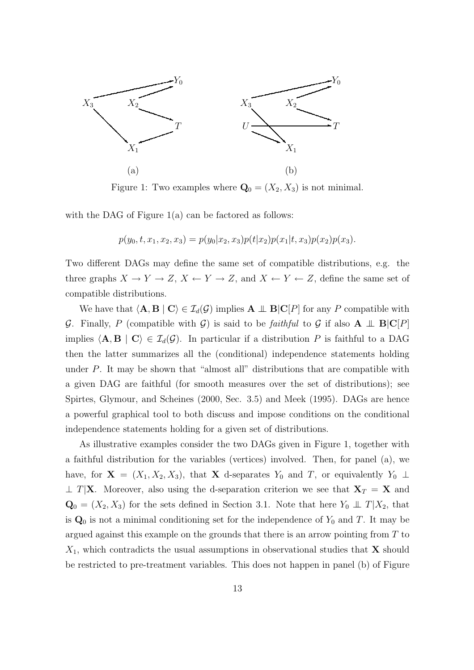

Figure 1: Two examples where  $\mathbf{Q}_0 = (X_2, X_3)$  is not minimal.

with the DAG of Figure  $1(a)$  can be factored as follows:

$$
p(y_0, t, x_1, x_2, x_3) = p(y_0 | x_2, x_3) p(t | x_2) p(x_1 | t, x_3) p(x_2) p(x_3).
$$

Two different DAGs may define the same set of compatible distributions, e.g. the three graphs  $X \to Y \to Z$ ,  $X \leftarrow Y \to Z$ , and  $X \leftarrow Y \leftarrow Z$ , define the same set of compatible distributions.

We have that  $\langle A, B | C \rangle \in \mathcal{I}_d(\mathcal{G})$  implies  $A \perp B | C[P]$  for any P compatible with G. Finally, P (compatible with G) is said to be faithful to G if also  $A \perp \!\!\!\perp B|C|P$ implies  $\langle \mathbf{A}, \mathbf{B} | \mathbf{C} \rangle \in \mathcal{I}_d(\mathcal{G})$ . In particular if a distribution P is faithful to a DAG then the latter summarizes all the (conditional) independence statements holding under  $P$ . It may be shown that "almost all" distributions that are compatible with a given DAG are faithful (for smooth measures over the set of distributions); see Spirtes, Glymour, and Scheines (2000, Sec. 3.5) and Meek (1995). DAGs are hence a powerful graphical tool to both discuss and impose conditions on the conditional independence statements holding for a given set of distributions.

As illustrative examples consider the two DAGs given in Figure 1, together with a faithful distribution for the variables (vertices) involved. Then, for panel (a), we have, for  $X = (X_1, X_2, X_3)$ , that X d-separates  $Y_0$  and T, or equivalently  $Y_0 \perp$  $\perp T|\mathbf{X}$ . Moreover, also using the d-separation criterion we see that  $\mathbf{X}_T = \mathbf{X}$  and  $\mathbf{Q}_0 = (X_2, X_3)$  for the sets defined in Section 3.1. Note that here  $Y_0 \perp \!\!\!\perp T | X_2$ , that is  $\mathbf{Q}_0$  is not a minimal conditioning set for the independence of  $Y_0$  and T. It may be argued against this example on the grounds that there is an arrow pointing from T to  $X_1$ , which contradicts the usual assumptions in observational studies that **X** should be restricted to pre-treatment variables. This does not happen in panel (b) of Figure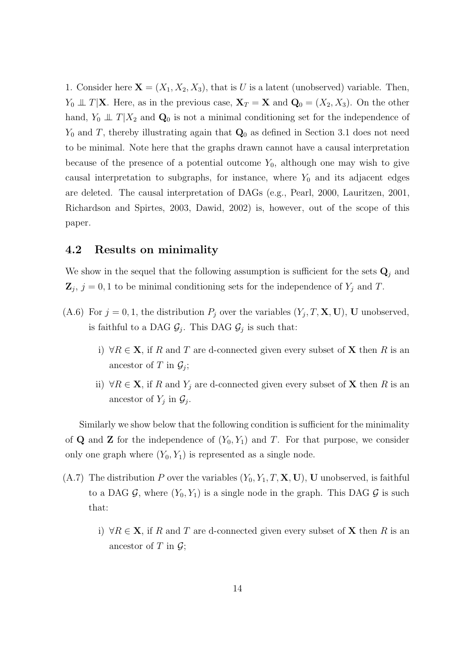1. Consider here  $X = (X_1, X_2, X_3)$ , that is U is a latent (unobserved) variable. Then,  $Y_0 \perp\!\!\!\perp T|\mathbf{X}$ . Here, as in the previous case,  $\mathbf{X}_T = \mathbf{X}$  and  $\mathbf{Q}_0 = (X_2, X_3)$ . On the other hand,  $Y_0 \perp \!\!\! \perp T | X_2$  and  $\mathbf{Q}_0$  is not a minimal conditioning set for the independence of  $Y_0$  and T, thereby illustrating again that  $\mathbf{Q}_0$  as defined in Section 3.1 does not need to be minimal. Note here that the graphs drawn cannot have a causal interpretation because of the presence of a potential outcome  $Y_0$ , although one may wish to give causal interpretation to subgraphs, for instance, where  $Y_0$  and its adjacent edges are deleted. The causal interpretation of DAGs (e.g., Pearl, 2000, Lauritzen, 2001, Richardson and Spirtes, 2003, Dawid, 2002) is, however, out of the scope of this paper.

### 4.2 Results on minimality

We show in the sequel that the following assumption is sufficient for the sets  $\mathbf{Q}_j$  and  $\mathbf{Z}_j$ ,  $j = 0, 1$  to be minimal conditioning sets for the independence of  $Y_j$  and T.

- (A.6) For  $j = 0, 1$ , the distribution  $P_j$  over the variables  $(Y_j, T, \mathbf{X}, \mathbf{U})$ , U unobserved, is faithful to a DAG  $\mathcal{G}_j$ . This DAG  $\mathcal{G}_j$  is such that:
	- i)  $\forall R \in \mathbf{X}$ , if R and T are d-connected given every subset of **X** then R is an ancestor of T in  $\mathcal{G}_j$ ;
	- ii)  $\forall R \in \mathbf{X}$ , if R and Y<sub>j</sub> are d-connected given every subset of **X** then R is an ancestor of  $Y_j$  in  $\mathcal{G}_j$ .

Similarly we show below that the following condition is sufficient for the minimality of **Q** and **Z** for the independence of  $(Y_0, Y_1)$  and T. For that purpose, we consider only one graph where  $(Y_0, Y_1)$  is represented as a single node.

- $(A.7)$  The distribution P over the variables  $(Y_0, Y_1, T, \mathbf{X}, \mathbf{U})$ , U unobserved, is faithful to a DAG  $\mathcal{G}$ , where  $(Y_0, Y_1)$  is a single node in the graph. This DAG  $\mathcal{G}$  is such that:
	- i)  $\forall R \in \mathbf{X}$ , if R and T are d-connected given every subset of **X** then R is an ancestor of T in  $\mathcal{G}$ ;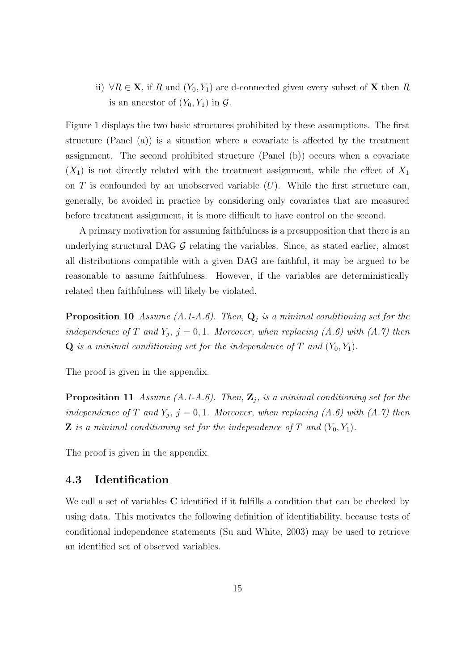ii)  $\forall R \in \mathbf{X}$ , if R and  $(Y_0, Y_1)$  are d-connected given every subset of **X** then R is an ancestor of  $(Y_0, Y_1)$  in  $\mathcal{G}$ .

Figure 1 displays the two basic structures prohibited by these assumptions. The first structure (Panel (a)) is a situation where a covariate is affected by the treatment assignment. The second prohibited structure (Panel (b)) occurs when a covariate  $(X_1)$  is not directly related with the treatment assignment, while the effect of  $X_1$ on  $T$  is confounded by an unobserved variable  $(U)$ . While the first structure can, generally, be avoided in practice by considering only covariates that are measured before treatment assignment, it is more difficult to have control on the second.

A primary motivation for assuming faithfulness is a presupposition that there is an underlying structural DAG  $G$  relating the variables. Since, as stated earlier, almost all distributions compatible with a given DAG are faithful, it may be argued to be reasonable to assume faithfulness. However, if the variables are deterministically related then faithfulness will likely be violated.

**Proposition 10** Assume (A.1-A.6). Then,  $\mathbf{Q}_j$  is a minimal conditioning set for the independence of T and  $Y_j$ ,  $j = 0, 1$ . Moreover, when replacing  $(A.6)$  with  $(A.7)$  then  $Q$  is a minimal conditioning set for the independence of T and  $(Y_0, Y_1)$ .

The proof is given in the appendix.

**Proposition 11** Assume (A.1-A.6). Then,  $\mathbf{Z}_j$ , is a minimal conditioning set for the independence of T and  $Y_j$ ,  $j = 0, 1$ . Moreover, when replacing  $(A.6)$  with  $(A.7)$  then **Z** is a minimal conditioning set for the independence of T and  $(Y_0, Y_1)$ .

The proof is given in the appendix.

### 4.3 Identification

We call a set of variables **C** identified if it fulfills a condition that can be checked by using data. This motivates the following definition of identifiability, because tests of conditional independence statements (Su and White, 2003) may be used to retrieve an identified set of observed variables.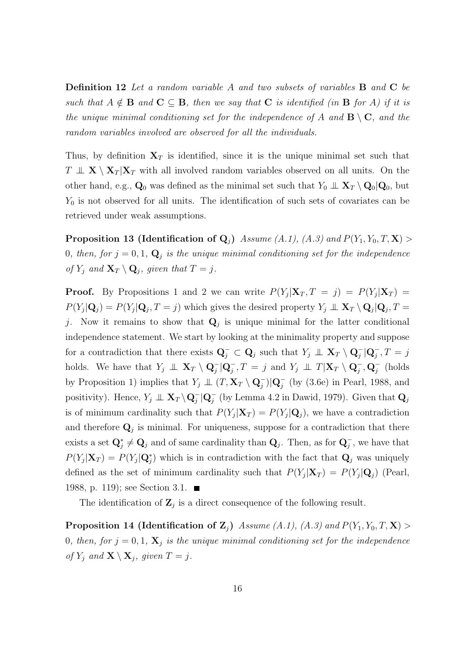Definition 12 Let a random variable A and two subsets of variables B and C be such that  $A \notin \mathbf{B}$  and  $\mathbf{C} \subseteq \mathbf{B}$ , then we say that  $\mathbf{C}$  is identified (in  $\mathbf{B}$  for A) if it is the unique minimal conditioning set for the independence of A and  $\mathbf{B} \setminus \mathbf{C}$ , and the random variables involved are observed for all the individuals.

Thus, by definition  $X_T$  is identified, since it is the unique minimal set such that  $T \perp \!\!\!\! \perp X \setminus X_T | X_T$  with all involved random variables observed on all units. On the other hand, e.g.,  $\mathbf{Q}_0$  was defined as the minimal set such that  $Y_0 \perp \perp \mathbf{X}_T \setminus \mathbf{Q}_0 | \mathbf{Q}_0$ , but  $Y_0$  is not observed for all units. The identification of such sets of covariates can be retrieved under weak assumptions.

**Proposition 13 (Identification of Q<sub>j</sub>)** Assume (A.1), (A.3) and  $P(Y_1, Y_0, T, \mathbf{X}) >$ 0, then, for  $j = 0, 1, \mathbf{Q}_j$  is the unique minimal conditioning set for the independence of  $Y_j$  and  $\mathbf{X}_T \setminus \mathbf{Q}_j$ , given that  $T = j$ .

**Proof.** By Propositions 1 and 2 we can write  $P(Y_j | \mathbf{X}_T, T = j) = P(Y_j | \mathbf{X}_T)$  $P(Y_j|\mathbf{Q}_j) = P(Y_j|\mathbf{Q}_j, T=j)$  which gives the desired property  $Y_j \perp \mathbf{X}_T \setminus \mathbf{Q}_j | \mathbf{Q}_j, T = j$ j. Now it remains to show that  $Q_j$  is unique minimal for the latter conditional independence statement. We start by looking at the minimality property and suppose for a contradiction that there exists  $Q_j^- \subset Q_j$  such that  $Y_j \perp \!\!\! \perp X_T \setminus Q_j^- | Q_j^-, T = j$ holds. We have that  $Y_j \perp \!\!\! \perp X_T \setminus \mathbf{Q}_j^- | \mathbf{Q}_j^-$ ,  $T = j$  and  $Y_j \perp \!\!\! \perp T | \mathbf{X}_T \setminus \mathbf{Q}_j^-$ ,  $\mathbf{Q}_j^-$  (holds by Proposition 1) implies that  $Y_j \perp \!\!\! \perp (T, \mathbf{X}_T \setminus \mathbf{Q}_j^-) | \mathbf{Q}_j^-$  (by (3.6e) in Pearl, 1988, and positivity). Hence,  $Y_j \perp \!\!\! \perp \mathbf{X}_T \setminus \mathbf{Q}_j^-$  (by Lemma 4.2 in Dawid, 1979). Given that  $\mathbf{Q}_j$ is of minimum cardinality such that  $P(Y_j|\mathbf{X}_T) = P(Y_j|\mathbf{Q}_j)$ , we have a contradiction and therefore  $\mathbf{Q}_j$  is minimal. For uniqueness, suppose for a contradiction that there exists a set  $\mathbf{Q}_j^* \neq \mathbf{Q}_j$  and of same cardinality than  $\mathbf{Q}_j$ . Then, as for  $\mathbf{Q}_j^-$ , we have that  $P(Y_j|\mathbf{X}_T) = P(Y_j|\mathbf{Q}_j^*)$  which is in contradiction with the fact that  $\mathbf{Q}_j$  was uniquely defined as the set of minimum cardinality such that  $P(Y_j|\mathbf{X}_T) = P(Y_j|\mathbf{Q}_j)$  (Pearl, 1988, p. 119); see Section 3.1.

The identification of  $\mathbf{Z}_j$  is a direct consequence of the following result.

**Proposition 14 (Identification of Z**<sub>j</sub>) Assume (A.1), (A.3) and  $P(Y_1, Y_0, T, \mathbf{X}) >$ 0, then, for  $j = 0, 1$ ,  $\mathbf{X}_j$  is the unique minimal conditioning set for the independence of  $Y_j$  and  $\mathbf{X} \setminus \mathbf{X}_j$ , given  $T = j$ .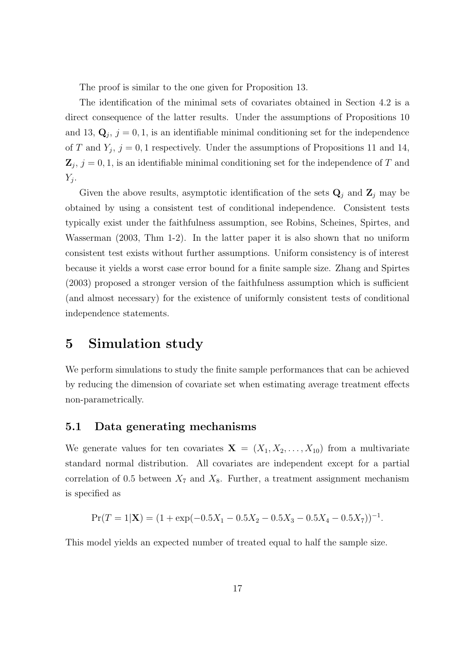The proof is similar to the one given for Proposition 13.

The identification of the minimal sets of covariates obtained in Section 4.2 is a direct consequence of the latter results. Under the assumptions of Propositions 10 and 13,  $\mathbf{Q}_j$ ,  $j = 0, 1$ , is an identifiable minimal conditioning set for the independence of T and  $Y_j$ ,  $j = 0, 1$  respectively. Under the assumptions of Propositions 11 and 14,  $\mathbf{Z}_j$ ,  $j = 0, 1$ , is an identifiable minimal conditioning set for the independence of T and  $Y_j$ .

Given the above results, asymptotic identification of the sets  $\mathbf{Q}_j$  and  $\mathbf{Z}_j$  may be obtained by using a consistent test of conditional independence. Consistent tests typically exist under the faithfulness assumption, see Robins, Scheines, Spirtes, and Wasserman (2003, Thm 1-2). In the latter paper it is also shown that no uniform consistent test exists without further assumptions. Uniform consistency is of interest because it yields a worst case error bound for a finite sample size. Zhang and Spirtes (2003) proposed a stronger version of the faithfulness assumption which is sufficient (and almost necessary) for the existence of uniformly consistent tests of conditional independence statements.

### 5 Simulation study

We perform simulations to study the finite sample performances that can be achieved by reducing the dimension of covariate set when estimating average treatment effects non-parametrically.

### 5.1 Data generating mechanisms

We generate values for ten covariates  $X = (X_1, X_2, \ldots, X_{10})$  from a multivariate standard normal distribution. All covariates are independent except for a partial correlation of 0.5 between  $X_7$  and  $X_8$ . Further, a treatment assignment mechanism is specified as

$$
Pr(T = 1|\mathbf{X}) = (1 + \exp(-0.5X_1 - 0.5X_2 - 0.5X_3 - 0.5X_4 - 0.5X_7))^{-1}.
$$

This model yields an expected number of treated equal to half the sample size.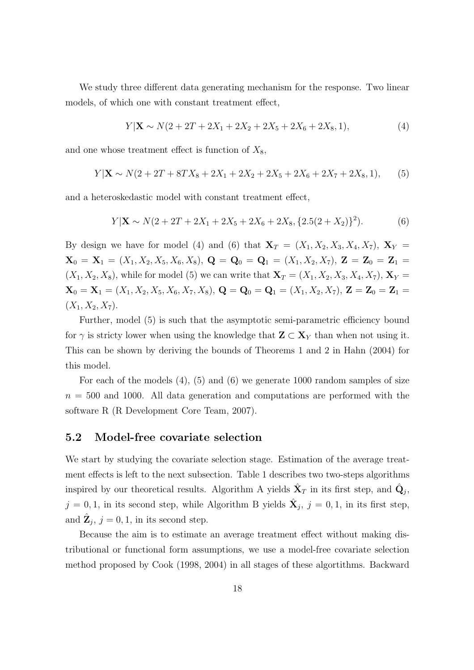We study three different data generating mechanism for the response. Two linear models, of which one with constant treatment effect,

$$
Y|\mathbf{X} \sim N(2 + 2T + 2X_1 + 2X_2 + 2X_5 + 2X_6 + 2X_8, 1), \tag{4}
$$

and one whose treatment effect is function of  $X_8$ ,

$$
Y|\mathbf{X} \sim N(2 + 2T + 8TX_8 + 2X_1 + 2X_2 + 2X_5 + 2X_6 + 2X_7 + 2X_8, 1), \quad (5)
$$

and a heteroskedastic model with constant treatment effect,

$$
Y|\mathbf{X} \sim N(2 + 2T + 2X_1 + 2X_5 + 2X_6 + 2X_8, \{2.5(2 + X_2)\}^2). \tag{6}
$$

By design we have for model (4) and (6) that  $\mathbf{X}_T = (X_1, X_2, X_3, X_4, X_7)$ ,  $\mathbf{X}_Y =$  $\mathbf{X}_0 = \mathbf{X}_1 = (X_1, X_2, X_5, X_6, X_8), \ \mathbf{Q} = \mathbf{Q}_0 = \mathbf{Q}_1 = (X_1, X_2, X_7), \ \mathbf{Z} = \mathbf{Z}_0 = \mathbf{Z}_1 =$  $(X_1, X_2, X_8)$ , while for model (5) we can write that  ${\bf X}_T = (X_1, X_2, X_3, X_4, X_7)$ ,  ${\bf X}_Y =$  $\mathbf{X}_0 = \mathbf{X}_1 = (X_1, X_2, X_5, X_6, X_7, X_8), \mathbf{Q} = \mathbf{Q}_0 = \mathbf{Q}_1 = (X_1, X_2, X_7), \mathbf{Z} = \mathbf{Z}_0 = \mathbf{Z}_1 =$  $(X_1, X_2, X_7).$ 

Further, model (5) is such that the asymptotic semi-parametric efficiency bound for  $\gamma$  is stricty lower when using the knowledge that  $\mathbf{Z} \subset \mathbf{X}_Y$  than when not using it. This can be shown by deriving the bounds of Theorems 1 and 2 in Hahn (2004) for this model.

For each of the models (4), (5) and (6) we generate 1000 random samples of size  $n = 500$  and 1000. All data generation and computations are performed with the software R (R Development Core Team, 2007).

### 5.2 Model-free covariate selection

We start by studying the covariate selection stage. Estimation of the average treatment effects is left to the next subsection. Table 1 describes two two-steps algorithms inspired by our theoretical results. Algorithm A yields  $\hat{\mathbf{X}}_T$  in its first step, and  $\hat{\mathbf{Q}}_j$ ,  $j = 0, 1$ , in its second step, while Algorithm B yields  $\hat{\mathbf{X}}_j$ ,  $j = 0, 1$ , in its first step, and  $\hat{\mathbf{Z}}_j$ ,  $j = 0, 1$ , in its second step.

Because the aim is to estimate an average treatment effect without making distributional or functional form assumptions, we use a model-free covariate selection method proposed by Cook (1998, 2004) in all stages of these algortithms. Backward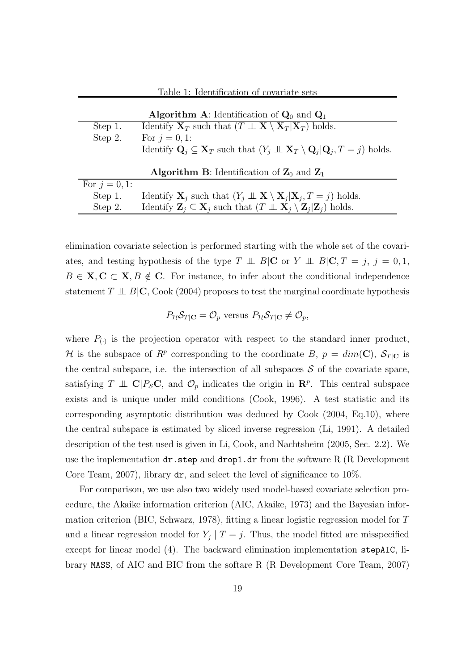|                  | <b>Algorithm A:</b> Identification of $Q_0$ and $Q_1$                                                                                               |
|------------------|-----------------------------------------------------------------------------------------------------------------------------------------------------|
| Step 1.          | Identify $X_T$ such that $(T \perp\!\!\!\perp X \setminus X_T   X_T)$ holds.                                                                        |
| Step 2.          | For $j = 0, 1$ :                                                                                                                                    |
|                  | Identify $\mathbf{Q}_i \subseteq \mathbf{X}_T$ such that $(Y_i \perp \!\!\!\perp \mathbf{X}_T \setminus \mathbf{Q}_i   \mathbf{Q}_i, T = j)$ holds. |
|                  | <b>Algorithm B:</b> Identification of $\mathbb{Z}_0$ and $\mathbb{Z}_1$                                                                             |
| For $j = 0, 1$ : |                                                                                                                                                     |
| Step 1.          | Identify $\mathbf{X}_i$ such that $(Y_i \perp \!\!\!\perp \mathbf{X} \setminus \mathbf{X}_i   \mathbf{X}_i, T = j)$ holds.                          |
| Step 2.          | Identify $\mathbf{Z}_i \subseteq \mathbf{X}_i$ such that $(T \perp \!\!\!\perp \mathbf{X}_i \setminus \mathbf{Z}_i   \mathbf{Z}_i)$ holds.          |

Table 1: Identification of covariate sets

elimination covariate selection is performed starting with the whole set of the covariates, and testing hypothesis of the type  $T \perp \!\!\!\perp B|\mathbf{C}$  or  $Y \perp \!\!\!\perp B|\mathbf{C}, T = j, j = 0, 1,$  $B \in \mathbf{X}, \mathbf{C} \subset \mathbf{X}, B \notin \mathbf{C}$ . For instance, to infer about the conditional independence statement  $T \perp\!\!\!\perp B|\mathbf{C}$ , Cook (2004) proposes to test the marginal coordinate hypothesis

### $P_{\mathcal{H}}\mathcal{S}_{T|\mathbf{C}} = \mathcal{O}_p$  versus  $P_{\mathcal{H}}\mathcal{S}_{T|\mathbf{C}} \neq \mathcal{O}_p$ ,

where  $P_{(.)}$  is the projection operator with respect to the standard inner product, H is the subspace of  $R^p$  corresponding to the coordinate B,  $p = dim(C)$ ,  $S_{T|C}$  is the central subspace, i.e. the intersection of all subspaces  $S$  of the covariate space, satisfying  $T \perp\!\!\!\perp \mathbf{C} | P_{\mathcal{S}} \mathbf{C}$ , and  $\mathcal{O}_p$  indicates the origin in  $\mathbf{R}^p$ . This central subspace exists and is unique under mild conditions (Cook, 1996). A test statistic and its corresponding asymptotic distribution was deduced by Cook (2004, Eq.10), where the central subspace is estimated by sliced inverse regression (Li, 1991). A detailed description of the test used is given in Li, Cook, and Nachtsheim (2005, Sec. 2.2). We use the implementation  $dr$ . step and  $drop1$ .  $dr$  from the software R (R Development Core Team, 2007), library dr, and select the level of significance to 10%.

For comparison, we use also two widely used model-based covariate selection procedure, the Akaike information criterion (AIC, Akaike, 1973) and the Bayesian information criterion (BIC, Schwarz, 1978), fitting a linear logistic regression model for T and a linear regression model for  $Y_j | T = j$ . Thus, the model fitted are misspecified except for linear model (4). The backward elimination implementation stepAIC, library MASS, of AIC and BIC from the softare R (R Development Core Team, 2007)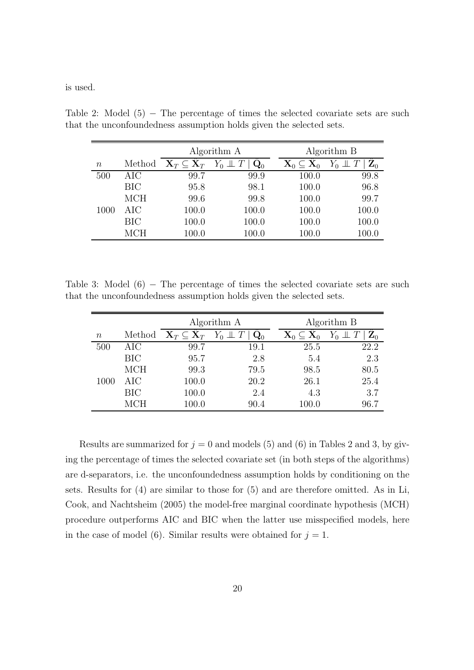is used.

|          |            |                                       | Algorithm A    | Algorithm B                                 |                      |  |  |
|----------|------------|---------------------------------------|----------------|---------------------------------------------|----------------------|--|--|
| $\it{n}$ | Method     | $\mathbf{X}_T \subseteq \mathbf{X}_T$ | $\mathbf{Q}_0$ | $\mathbf{X}_0 \subseteq \hat{\mathbf{X}}_0$ | $\hat{\mathbf{Z}}_0$ |  |  |
| 500      | AIC        | 99.7                                  | 99.9           | 100.0                                       | 99.8                 |  |  |
|          | <b>BIC</b> | 95.8                                  | 98.1           | 100.0                                       | 96.8                 |  |  |
|          | <b>MCH</b> | 99.6                                  | 99.8           | 100.0                                       | 99.7                 |  |  |
| 1000     | AIC        | 100.0                                 | 100.0          | 100.0                                       | 100.0                |  |  |
|          | <b>BIC</b> | 100.0                                 | 100.0          | 100.0                                       | 100.0                |  |  |
|          | <b>MCH</b> | 100.0                                 | 100.0          | 100.0                                       | 100.0                |  |  |

Table 2: Model  $(5)$  – The percentage of times the selected covariate sets are such that the unconfoundedness assumption holds given the selected sets.

Table 3: Model  $(6)$  – The percentage of times the selected covariate sets are such that the unconfoundedness assumption holds given the selected sets.

|        |            |                                       | Algorithm A            |           | Algorithm B    |
|--------|------------|---------------------------------------|------------------------|-----------|----------------|
| $\, n$ | Method     | $\mathbf{X}_T \subseteq \mathbf{X}_T$ | $Y_0 \perp T$<br>$Q_0$ |           | $\mathbf{Z}_0$ |
| 500    | AIC        | 99.7                                  | 19.1                   | 25.5      | 22.2           |
|        | <b>BIC</b> | 95.7                                  | 2.8                    | 5.4       | 2.3            |
|        | <b>MCH</b> | 99.3                                  | 79.5                   | 98.5      | 80.5           |
| 1000   | AIC        | 100.0                                 | 20.2                   | 26.1      | 25.4           |
|        | BIC        | 100.0                                 | 2.4                    | 4.3       | 3.7            |
|        | MCH        | 100.0                                 | 90.4                   | $100.0\,$ | 96.7           |

Results are summarized for  $j = 0$  and models (5) and (6) in Tables 2 and 3, by giving the percentage of times the selected covariate set (in both steps of the algorithms) are d-separators, i.e. the unconfoundedness assumption holds by conditioning on the sets. Results for (4) are similar to those for (5) and are therefore omitted. As in Li, Cook, and Nachtsheim (2005) the model-free marginal coordinate hypothesis (MCH) procedure outperforms AIC and BIC when the latter use misspecified models, here in the case of model (6). Similar results were obtained for  $j = 1$ .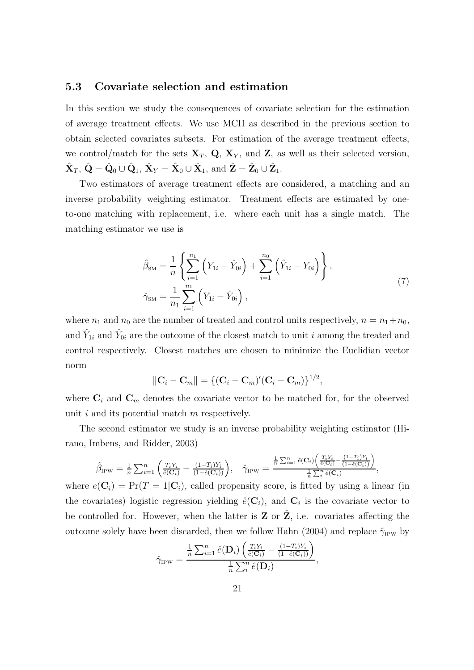#### 5.3 Covariate selection and estimation

In this section we study the consequences of covariate selection for the estimation of average treatment effects. We use MCH as described in the previous section to obtain selected covariates subsets. For estimation of the average treatment effects, we control/match for the sets  $X_T$ , Q,  $X_Y$ , and Z, as well as their selected version,  $\hat{\mathbf{X}}_T, \hat{\mathbf{Q}} = \hat{\mathbf{Q}}_0 \cup \hat{\mathbf{Q}}_1, \, \hat{\mathbf{X}}_Y = \hat{\mathbf{X}}_0 \cup \hat{\mathbf{X}}_1, \text{ and } \hat{\mathbf{Z}} = \hat{\mathbf{Z}}_0 \cup \hat{\mathbf{Z}}_1.$ 

Two estimators of average treatment effects are considered, a matching and an inverse probability weighting estimator. Treatment effects are estimated by oneto-one matching with replacement, i.e. where each unit has a single match. The matching estimator we use is

$$
\hat{\beta}_{\rm SM} = \frac{1}{n} \left\{ \sum_{i=1}^{n_1} \left( Y_{1i} - \hat{Y}_{0i} \right) + \sum_{i=1}^{n_0} \left( \hat{Y}_{1i} - Y_{0i} \right) \right\},
$$
\n
$$
\hat{\gamma}_{\rm SM} = \frac{1}{n_1} \sum_{i=1}^{n_1} \left( Y_{1i} - \hat{Y}_{0i} \right),
$$
\n(7)

where  $n_1$  and  $n_0$  are the number of treated and control units respectively,  $n = n_1 + n_0$ , and  $\hat{Y}_{1i}$  and  $\hat{Y}_{0i}$  are the outcome of the closest match to unit i among the treated and control respectively. Closest matches are chosen to minimize the Euclidian vector norm

$$
||C_i - C_m|| = \{ (C_i - C_m)'(C_i - C_m) \}^{1/2},
$$

where  $\mathbf{C}_i$  and  $\mathbf{C}_m$  denotes the covariate vector to be matched for, for the observed unit  $i$  and its potential match  $m$  respectively.

The second estimator we study is an inverse probability weighting estimator (Hirano, Imbens, and Ridder, 2003)

$$
\hat{\beta}_{IPW} = \frac{1}{n} \sum_{i=1}^n \left( \frac{T_i Y_i}{\hat{e}(\mathbf{C}_i)} - \frac{(1-T_i)Y_i}{(1-\hat{e}(\mathbf{C}_i))} \right), \quad \hat{\gamma}_{IPW} = \frac{\frac{1}{n} \sum_{i=1}^n \hat{e}(\mathbf{C}_i) \left( \frac{T_i Y_i}{\hat{e}(\mathbf{C}_i)} - \frac{(1-T_i)Y_i}{(1-\hat{e}(\mathbf{C}_i))} \right)}{\frac{1}{n} \sum_{i=1}^n \hat{e}(\mathbf{C}_i)},
$$

where  $e(\mathbf{C}_i) = \Pr(T = 1 | \mathbf{C}_i)$ , called propensity score, is fitted by using a linear (in the covariates) logistic regression yielding  $\hat{e}(\mathbf{C}_i)$ , and  $\mathbf{C}_i$  is the covariate vector to be controlled for. However, when the latter is  $Z$  or  $Z$ , i.e. covariates affecting the outcome solely have been discarded, then we follow Hahn (2004) and replace  $\hat{\gamma}_{IPW}$  by

$$
\hat{\gamma}_{\text{IPW}} = \frac{\frac{1}{n} \sum_{i=1}^{n} \hat{e}(\mathbf{D}_{i}) \left( \frac{T_{i} Y_{i}}{\hat{e}(\mathbf{C}_{i})} - \frac{(1 - T_{i}) Y_{i}}{(1 - \hat{e}(\mathbf{C}_{i}))} \right)}{\frac{1}{n} \sum_{i}^{n} \hat{e}(\mathbf{D}_{i})},
$$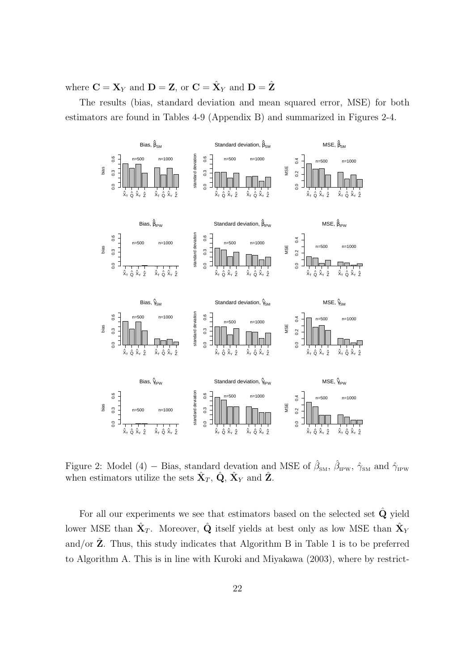where  $\mathbf{C} = \mathbf{X}_Y$  and  $\mathbf{D} = \mathbf{Z}$ , or  $\mathbf{C} = \hat{\mathbf{X}}_Y$  and  $\mathbf{D} = \hat{\mathbf{Z}}$ 

The results (bias, standard deviation and mean squared error, MSE) for both estimators are found in Tables 4-9 (Appendix B) and summarized in Figures 2-4.



Figure 2: Model (4) – Bias, standard devation and MSE of  $\hat{\beta}_{SM}$ ,  $\hat{\beta}_{IPW}$ ,  $\hat{\gamma}_{SM}$  and  $\hat{\gamma}_{IPW}$ when estimators utilize the sets  $\hat{\mathbf{X}}_T$ ,  $\hat{\mathbf{Q}}$ ,  $\hat{\mathbf{X}}_Y$  and  $\hat{\mathbf{Z}}$ .

For all our experiments we see that estimators based on the selected set  $\hat{Q}$  yield lower MSE than  $\hat{\mathbf{X}}_T$ . Moreover,  $\hat{\mathbf{Q}}$  itself yields at best only as low MSE than  $\hat{\mathbf{X}}_Y$ and/or  $\hat{Z}$ . Thus, this study indicates that Algorithm B in Table 1 is to be preferred to Algorithm A. This is in line with Kuroki and Miyakawa (2003), where by restrict-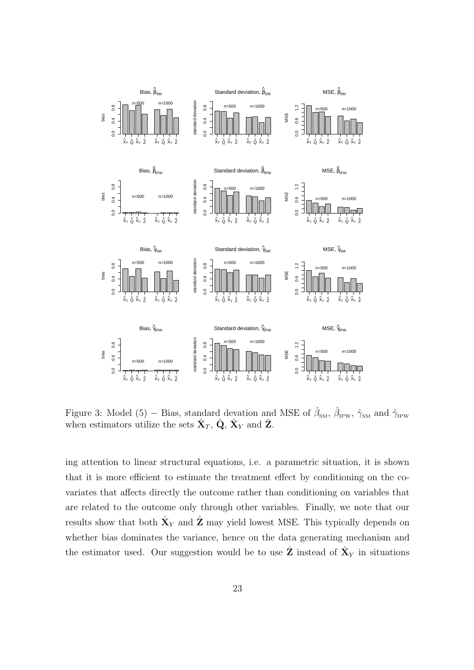

Figure 3: Model (5) – Bias, standard devation and MSE of  $\hat{\beta}_{SM}$ ,  $\hat{\beta}_{IPW}$ ,  $\hat{\gamma}_{SM}$  and  $\hat{\gamma}_{IPW}$ when estimators utilize the sets  $\hat{\mathbf{X}}_T$ ,  $\hat{\mathbf{Q}}$ ,  $\hat{\mathbf{X}}_Y$  and  $\hat{\mathbf{Z}}$ .

ing attention to linear structural equations, i.e. a parametric situation, it is shown that it is more efficient to estimate the treatment effect by conditioning on the covariates that affects directly the outcome rather than conditioning on variables that are related to the outcome only through other variables. Finally, we note that our results show that both  $\hat{\mathbf{X}}_Y$  and  $\hat{\mathbf{Z}}$  may yield lowest MSE. This typically depends on whether bias dominates the variance, hence on the data generating mechanism and the estimator used. Our suggestion would be to use  $\hat{\mathbf{Z}}$  instead of  $\hat{\mathbf{X}}_Y$  in situations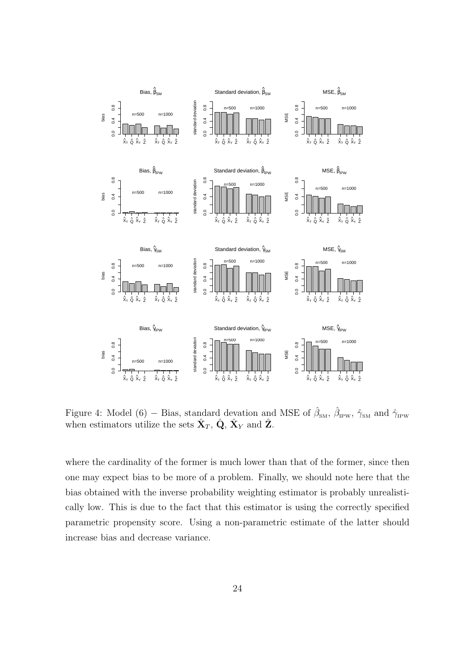

Figure 4: Model (6) – Bias, standard devation and MSE of  $\hat{\beta}_{SM}$ ,  $\hat{\beta}_{IPW}$ ,  $\hat{\gamma}_{SM}$  and  $\hat{\gamma}_{IPW}$ when estimators utilize the sets  $\hat{\mathbf{X}}_T$ ,  $\hat{\mathbf{Q}}$ ,  $\hat{\mathbf{X}}_Y$  and  $\hat{\mathbf{Z}}$ .

where the cardinality of the former is much lower than that of the former, since then one may expect bias to be more of a problem. Finally, we should note here that the bias obtained with the inverse probability weighting estimator is probably unrealistically low. This is due to the fact that this estimator is using the correctly specified parametric propensity score. Using a non-parametric estimate of the latter should increase bias and decrease variance.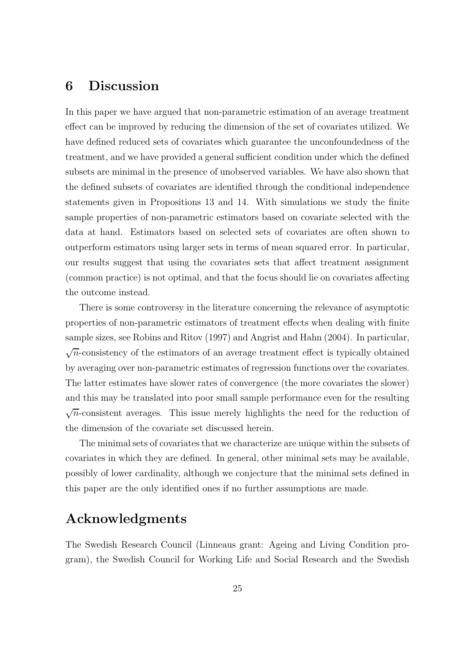# 6 Discussion

In this paper we have argued that non-parametric estimation of an average treatment effect can be improved by reducing the dimension of the set of covariates utilized. We have defined reduced sets of covariates which guarantee the unconfoundedness of the treatment, and we have provided a general sufficient condition under which the defined subsets are minimal in the presence of unobserved variables. We have also shown that the defined subsets of covariates are identified through the conditional independence statements given in Propositions 13 and 14. With simulations we study the finite sample properties of non-parametric estimators based on covariate selected with the data at hand. Estimators based on selected sets of covariates are often shown to outperform estimators using larger sets in terms of mean squared error. In particular, our results suggest that using the covariates sets that affect treatment assignment (common practice) is not optimal, and that the focus should lie on covariates affecting the outcome instead.

There is some controversy in the literature concerning the relevance of asymptotic properties of non-parametric estimators of treatment effects when dealing with finite sample sizes, see Robins and Ritov (1997) and Angrist and Hahn (2004). In particular,  $\sqrt{n}$ -consistency of the estimators of an average treatment effect is typically obtained by averaging over non-parametric estimates of regression functions over the covariates. The latter estimates have slower rates of convergence (the more covariates the slower) and this may be translated into poor small sample performance even for the resulting  $\sqrt{n}$ -consistent averages. This issue merely highlights the need for the reduction of the dimension of the covariate set discussed herein.

The minimal sets of covariates that we characterize are unique within the subsets of covariates in which they are defined. In general, other minimal sets may be available, possibly of lower cardinality, although we conjecture that the minimal sets defined in this paper are the only identified ones if no further assumptions are made.

# Acknowledgments

The Swedish Research Council (Linneaus grant: Ageing and Living Condition program), the Swedish Council for Working Life and Social Research and the Swedish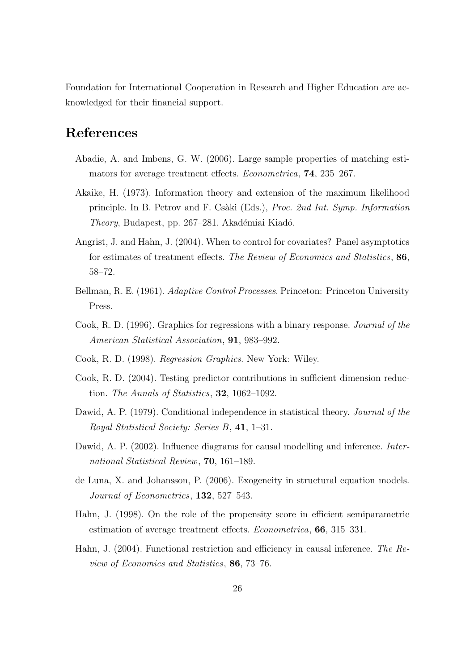Foundation for International Cooperation in Research and Higher Education are acknowledged for their financial support.

# References

- Abadie, A. and Imbens, G. W. (2006). Large sample properties of matching estimators for average treatment effects. Econometrica, 74, 235–267.
- Akaike, H. (1973). Information theory and extension of the maximum likelihood principle. In B. Petrov and F. Cs`aki (Eds.), Proc. 2nd Int. Symp. Information Theory, Budapest, pp. 267–281. Akadémiai Kiadó.
- Angrist, J. and Hahn, J. (2004). When to control for covariates? Panel asymptotics for estimates of treatment effects. The Review of Economics and Statistics, 86, 58–72.
- Bellman, R. E. (1961). Adaptive Control Processes. Princeton: Princeton University Press.
- Cook, R. D. (1996). Graphics for regressions with a binary response. Journal of the American Statistical Association, 91, 983–992.
- Cook, R. D. (1998). Regression Graphics. New York: Wiley.
- Cook, R. D. (2004). Testing predictor contributions in sufficient dimension reduction. The Annals of Statistics, 32, 1062–1092.
- Dawid, A. P. (1979). Conditional independence in statistical theory. *Journal of the* Royal Statistical Society: Series B, 41, 1–31.
- Dawid, A. P. (2002). Influence diagrams for causal modelling and inference. *Inter*national Statistical Review, 70, 161–189.
- de Luna, X. and Johansson, P. (2006). Exogeneity in structural equation models. Journal of Econometrics, 132, 527–543.
- Hahn, J. (1998). On the role of the propensity score in efficient semiparametric estimation of average treatment effects. Econometrica, 66, 315–331.
- Hahn, J. (2004). Functional restriction and efficiency in causal inference. The Review of Economics and Statistics, 86, 73–76.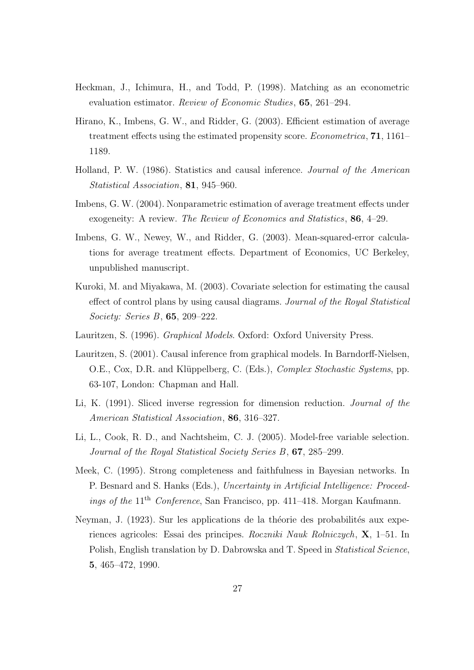- Heckman, J., Ichimura, H., and Todd, P. (1998). Matching as an econometric evaluation estimator. Review of Economic Studies, 65, 261–294.
- Hirano, K., Imbens, G. W., and Ridder, G. (2003). Efficient estimation of average treatment effects using the estimated propensity score. Econometrica, 71, 1161– 1189.
- Holland, P. W. (1986). Statistics and causal inference. Journal of the American Statistical Association, 81, 945–960.
- Imbens, G. W. (2004). Nonparametric estimation of average treatment effects under exogeneity: A review. The Review of Economics and Statistics, 86, 4–29.
- Imbens, G. W., Newey, W., and Ridder, G. (2003). Mean-squared-error calculations for average treatment effects. Department of Economics, UC Berkeley, unpublished manuscript.
- Kuroki, M. and Miyakawa, M. (2003). Covariate selection for estimating the causal effect of control plans by using causal diagrams. Journal of the Royal Statistical Society: Series B, 65, 209–222.
- Lauritzen, S. (1996). Graphical Models. Oxford: Oxford University Press.
- Lauritzen, S. (2001). Causal inference from graphical models. In Barndorff-Nielsen, O.E., Cox, D.R. and Klüppelberg, C. (Eds.), Complex Stochastic Systems, pp. 63-107, London: Chapman and Hall.
- Li, K. (1991). Sliced inverse regression for dimension reduction. Journal of the American Statistical Association, 86, 316–327.
- Li, L., Cook, R. D., and Nachtsheim, C. J. (2005). Model-free variable selection. Journal of the Royal Statistical Society Series B, 67, 285–299.
- Meek, C. (1995). Strong completeness and faithfulness in Bayesian networks. In P. Besnard and S. Hanks (Eds.), Uncertainty in Artificial Intelligence: Proceedings of the 11<sup>th</sup> Conference, San Francisco, pp. 411–418. Morgan Kaufmann.
- Neyman, J. (1923). Sur les applications de la théorie des probabilités aux experiences agricoles: Essai des principes. Roczniki Nauk Rolniczych, X, 1–51. In Polish, English translation by D. Dabrowska and T. Speed in Statistical Science, 5, 465–472, 1990.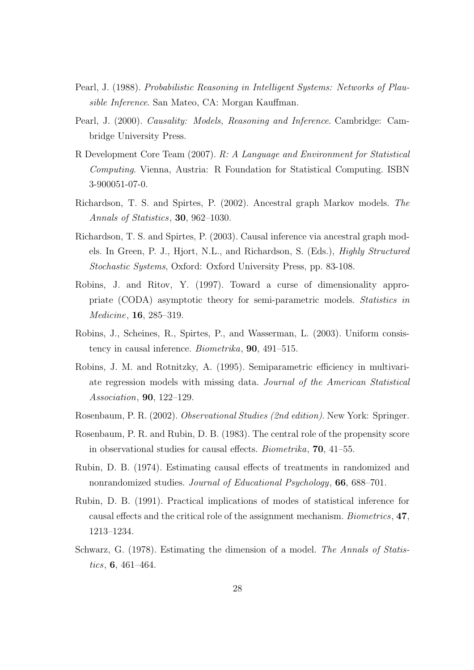- Pearl, J. (1988). Probabilistic Reasoning in Intelligent Systems: Networks of Plausible Inference. San Mateo, CA: Morgan Kauffman.
- Pearl, J. (2000). Causality: Models, Reasoning and Inference. Cambridge: Cambridge University Press.
- R Development Core Team (2007). R: A Language and Environment for Statistical Computing. Vienna, Austria: R Foundation for Statistical Computing. ISBN 3-900051-07-0.
- Richardson, T. S. and Spirtes, P. (2002). Ancestral graph Markov models. The Annals of Statistics, 30, 962–1030.
- Richardson, T. S. and Spirtes, P. (2003). Causal inference via ancestral graph models. In Green, P. J., Hjort, N.L., and Richardson, S. (Eds.), Highly Structured Stochastic Systems, Oxford: Oxford University Press, pp. 83-108.
- Robins, J. and Ritov, Y. (1997). Toward a curse of dimensionality appropriate (CODA) asymptotic theory for semi-parametric models. Statistics in Medicine, 16, 285–319.
- Robins, J., Scheines, R., Spirtes, P., and Wasserman, L. (2003). Uniform consistency in causal inference. Biometrika, 90, 491–515.
- Robins, J. M. and Rotnitzky, A. (1995). Semiparametric efficiency in multivariate regression models with missing data. Journal of the American Statistical Association, 90, 122–129.
- Rosenbaum, P. R. (2002). Observational Studies (2nd edition). New York: Springer.
- Rosenbaum, P. R. and Rubin, D. B. (1983). The central role of the propensity score in observational studies for causal effects. Biometrika, 70, 41–55.
- Rubin, D. B. (1974). Estimating causal effects of treatments in randomized and nonrandomized studies. Journal of Educational Psychology, 66, 688–701.
- Rubin, D. B. (1991). Practical implications of modes of statistical inference for causal effects and the critical role of the assignment mechanism. Biometrics, 47, 1213–1234.
- Schwarz, G. (1978). Estimating the dimension of a model. The Annals of Statistics, 6, 461–464.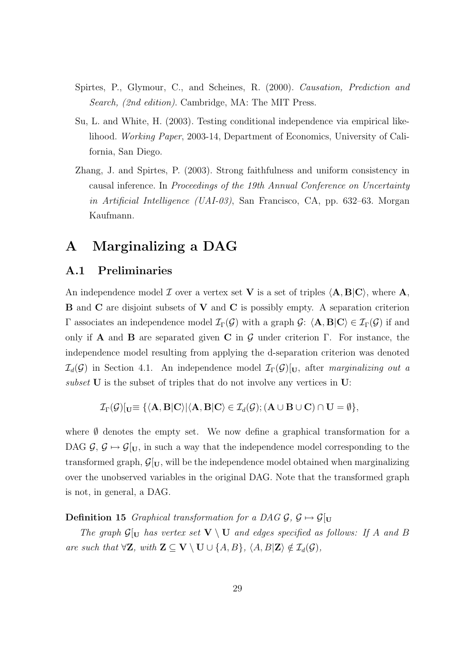- Spirtes, P., Glymour, C., and Scheines, R. (2000). Causation, Prediction and Search, (2nd edition). Cambridge, MA: The MIT Press.
- Su, L. and White, H. (2003). Testing conditional independence via empirical likelihood. Working Paper, 2003-14, Department of Economics, University of California, San Diego.
- Zhang, J. and Spirtes, P. (2003). Strong faithfulness and uniform consistency in causal inference. In Proceedings of the 19th Annual Conference on Uncertainty in Artificial Intelligence (UAI-03), San Francisco, CA, pp. 632–63. Morgan Kaufmann.

# A Marginalizing a DAG

### A.1 Preliminaries

An independence model  $\mathcal I$  over a vertex set V is a set of triples  $\langle A, B|C \rangle$ , where A, B and C are disjoint subsets of V and C is possibly empty. A separation criterion Γ associates an independence model  $\mathcal{I}_{\Gamma}(\mathcal{G})$  with a graph  $\mathcal{G}: \langle \mathbf{A}, \mathbf{B} | \mathbf{C} \rangle \in \mathcal{I}_{\Gamma}(\mathcal{G})$  if and only if **A** and **B** are separated given **C** in  $\mathcal{G}$  under criterion Γ. For instance, the independence model resulting from applying the d-separation criterion was denoted  $\mathcal{I}_d(\mathcal{G})$  in Section 4.1. An independence model  $\mathcal{I}_{\Gamma}(\mathcal{G})|_{U}$ , after marginalizing out a subset U is the subset of triples that do not involve any vertices in U:

$$
\mathcal{I}_{\Gamma}(\mathcal{G})[_{\mathbf{U}} \equiv \{ \langle \mathbf{A}, \mathbf{B} | \mathbf{C} \rangle | \langle \mathbf{A}, \mathbf{B} | \mathbf{C} \rangle \in \mathcal{I}_{d}(\mathcal{G}); (\mathbf{A} \cup \mathbf{B} \cup \mathbf{C}) \cap \mathbf{U} = \emptyset \},\
$$

where  $\emptyset$  denotes the empty set. We now define a graphical transformation for a DAG  $\mathcal{G}, \mathcal{G} \mapsto \mathcal{G}|_{U}$ , in such a way that the independence model corresponding to the transformed graph,  $\mathcal{G}[U]$ , will be the independence model obtained when marginalizing over the unobserved variables in the original DAG. Note that the transformed graph is not, in general, a DAG.

**Definition 15** Graphical transformation for a DAG  $\mathcal{G}, \mathcal{G} \mapsto \mathcal{G}[U]$ 

The graph  $\mathcal{G}[_U]$  has vertex set  $V \setminus U$  and edges specified as follows: If A and B are such that  $\forall \mathbf{Z}$ , with  $\mathbf{Z} \subseteq \mathbf{V} \setminus \mathbf{U} \cup \{A, B\}$ ,  $\langle A, B | \mathbf{Z} \rangle \notin \mathcal{I}_d(\mathcal{G})$ ,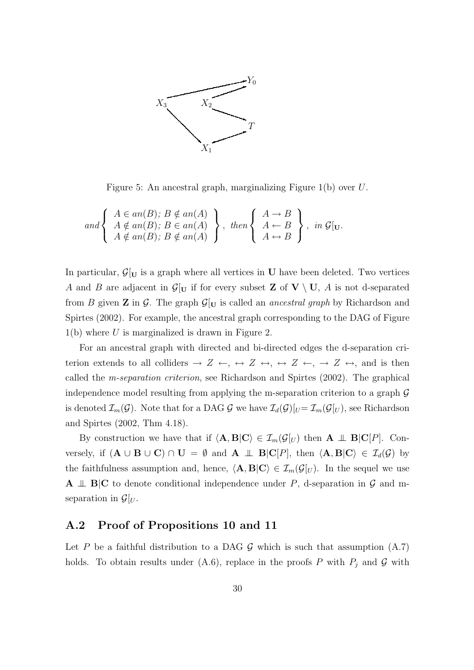

Figure 5: An ancestral graph, marginalizing Figure 1(b) over U.

and 
$$
\begin{cases} A \in an(B); B \notin an(A) \\ A \notin an(B); B \in an(A) \\ A \notin an(B); B \notin an(A) \end{cases}, then \begin{cases} A \to B \\ A \leftarrow B \\ A \leftrightarrow B \end{cases}, in \mathcal{G}[v].
$$

In particular,  $\mathcal{G}[U]$  is a graph where all vertices in U have been deleted. Two vertices A and B are adjacent in  $\mathcal{G}[_U]$  if for every subset **Z** of  $V \setminus U$ , A is not d-separated from B given **Z** in G. The graph  $\mathcal{G}|_U$  is called an *ancestral graph* by Richardson and Spirtes (2002). For example, the ancestral graph corresponding to the DAG of Figure  $1(b)$  where U is marginalized is drawn in Figure 2.

For an ancestral graph with directed and bi-directed edges the d-separation criterion extends to all colliders  $\rightarrow Z \leftrightarrow$ ,  $\leftrightarrow Z \leftrightarrow$ ,  $\rightarrow Z \leftrightarrow$ , and is then called the m-separation criterion, see Richardson and Spirtes (2002). The graphical independence model resulting from applying the m-separation criterion to a graph  $\mathcal G$ is denoted  $\mathcal{I}_m(\mathcal{G})$ . Note that for a DAG  $\mathcal{G}$  we have  $\mathcal{I}_d(\mathcal{G})[U]=\mathcal{I}_m(\mathcal{G}(U))$ , see Richardson and Spirtes (2002, Thm 4.18).

By construction we have that if  $\langle A, B|C \rangle \in \mathcal{I}_m(\mathcal{G}|_U)$  then  $A \perp \mathbf{B}|C|P|$ . Conversely, if  $(A \cup B \cup C) \cap U = \emptyset$  and  $A \perp \!\!\!\perp B|C[P]$ , then  $\langle A, B|C \rangle \in \mathcal{I}_d(\mathcal{G})$  by the faithfulness assumption and, hence,  $\langle A, B|C \rangle \in \mathcal{I}_m(\mathcal{G}[U])$ . In the sequel we use **A**  $\perp$  **B**|**C** to denote conditional independence under P, d-separation in G and mseparation in  $\mathcal{G}[U]$ .

### A.2 Proof of Propositions 10 and 11

Let P be a faithful distribution to a DAG  $\mathcal G$  which is such that assumption (A.7) holds. To obtain results under (A.6), replace in the proofs P with  $P_j$  and G with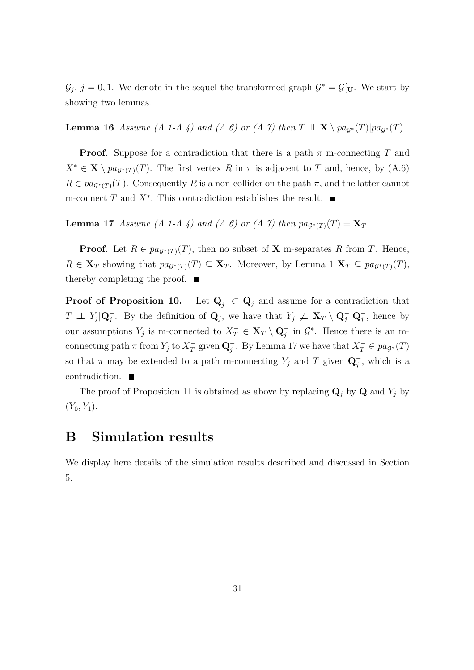$\mathcal{G}_j$ ,  $j = 0, 1$ . We denote in the sequel the transformed graph  $\mathcal{G}^* = \mathcal{G}[v]$ . We start by showing two lemmas.

**Lemma 16** Assume (A.1-A.4) and (A.6) or (A.7) then  $T \perp \mathbf{X} \setminus pa_{G^*}(T)|pa_{G^*}(T)$ .

**Proof.** Suppose for a contradiction that there is a path  $\pi$  m-connecting T and  $X^* \in \mathbf{X} \setminus pa_{\mathcal{G}^*(T)}(T)$ . The first vertex R in  $\pi$  is adjacent to T and, hence, by (A.6)  $R \in pa_{\mathcal{G}^*(T)}(T)$ . Consequently R is a non-collider on the path  $\pi$ , and the latter cannot m-connect  $T$  and  $X^*$ . This contradiction establishes the result.

**Lemma 17** Assume (A.1-A.4) and (A.6) or (A.7) then  $pa_{G^*(T)}(T) = \mathbf{X}_T$ .

**Proof.** Let  $R \in pa_{G^*(T)}(T)$ , then no subset of **X** m-separates R from T. Hence,  $R \in \mathbf{X}_T$  showing that  $pa_{\mathcal{G}^*(T)}(T) \subseteq \mathbf{X}_T$ . Moreover, by Lemma 1  $\mathbf{X}_T \subseteq pa_{\mathcal{G}^*(T)}(T)$ , thereby completing the proof.  $\blacksquare$ 

**Proof of Proposition 10.** Let  $\mathbf{Q}^-_j \subset \mathbf{Q}_j$  and assume for a contradiction that  $T \perp\!\!\!\perp Y_j | \mathbf{Q}_j^-$ . By the definition of  $\mathbf{Q}_j$ , we have that  $Y_j \perp\!\!\!\perp \mathbf{X}_T \setminus \mathbf{Q}_j^- | \mathbf{Q}_j^-$ , hence by our assumptions  $Y_j$  is m-connected to  $X_T^- \in \mathbf{X}_T \setminus \mathbf{Q}_j^-$  in  $\mathcal{G}^*$ . Hence there is an mconnecting path  $\pi$  from  $Y_j$  to  $X_T^ \overline{T}$  given  $\mathbf{Q}^-_j$ . By Lemma 17 we have that  $X^-_T \in pa_{\mathcal{G}^*}(T)$ so that  $\pi$  may be extended to a path m-connecting  $Y_j$  and T given  $\mathbf{Q}_j^-$ , which is a contradiction.

The proof of Proposition 11 is obtained as above by replacing  $\mathbf{Q}_j$  by  $\mathbf{Q}$  and  $Y_j$  by  $(Y_0, Y_1)$ .

# B Simulation results

We display here details of the simulation results described and discussed in Section 5.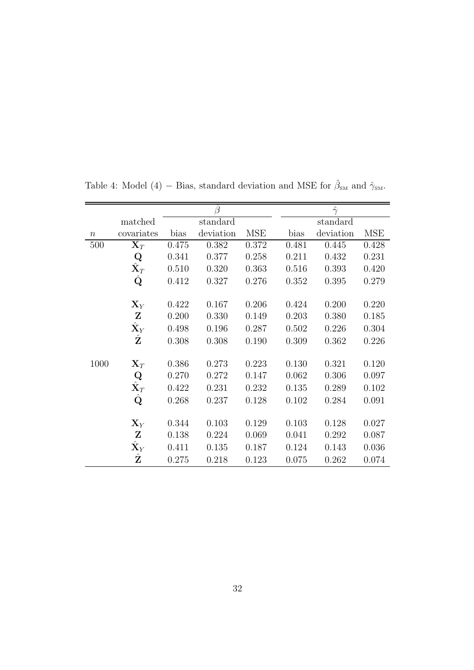|                  |                      |       |           |            |       | $\hat{\gamma}$ |            |
|------------------|----------------------|-------|-----------|------------|-------|----------------|------------|
|                  | matched              |       | standard  |            |       | standard       |            |
| $\boldsymbol{n}$ | covariates           | bias  | deviation | <b>MSE</b> | bias  | deviation      | <b>MSE</b> |
| 500              | $\mathbf{X}_T$       | 0.475 | 0.382     | 0.372      | 0.481 | 0.445          | 0.428      |
|                  | Q                    | 0.341 | 0.377     | 0.258      | 0.211 | 0.432          | 0.231      |
|                  | $\hat{\mathbf{X}}_T$ | 0.510 | 0.320     | 0.363      | 0.516 | 0.393          | 0.420      |
|                  | $\hat{\mathbf{Q}}$   | 0.412 | 0.327     | 0.276      | 0.352 | 0.395          | 0.279      |
|                  | $\mathbf{X}_Y$       | 0.422 | 0.167     | 0.206      | 0.424 | 0.200          | 0.220      |
|                  | $\mathbf{Z}$         | 0.200 | 0.330     | 0.149      | 0.203 | 0.380          | 0.185      |
|                  | $\hat{\mathbf{X}}_Y$ | 0.498 | 0.196     | 0.287      | 0.502 | 0.226          | 0.304      |
|                  | $\hat{\mathbf{Z}}$   | 0.308 | 0.308     | 0.190      | 0.309 | 0.362          | 0.226      |
| 1000             | $\mathbf{X}_T$       | 0.386 | 0.273     | 0.223      | 0.130 | 0.321          | 0.120      |
|                  | $\bf Q$              | 0.270 | 0.272     | 0.147      | 0.062 | 0.306          | 0.097      |
|                  | $\hat{\textbf{X}}_T$ | 0.422 | 0.231     | 0.232      | 0.135 | 0.289          | 0.102      |
|                  | $\hat{\mathbf{Q}}$   | 0.268 | 0.237     | 0.128      | 0.102 | 0.284          | 0.091      |
|                  | $\mathbf{X}_Y$       | 0.344 | 0.103     | 0.129      | 0.103 | 0.128          | 0.027      |
|                  | $\mathbf{Z}$         | 0.138 | 0.224     | 0.069      | 0.041 | 0.292          | 0.087      |
|                  | $\hat{\mathbf{X}}_Y$ | 0.411 | 0.135     | 0.187      | 0.124 | 0.143          | 0.036      |
|                  | $\hat{\mathbf{Z}}$   | 0.275 | 0.218     | 0.123      | 0.075 | 0.262          | 0.074      |

Table 4: Model (4) – Bias, standard deviation and MSE for  $\hat{\beta}_{SM}$  and  $\hat{\gamma}_{SM}$ .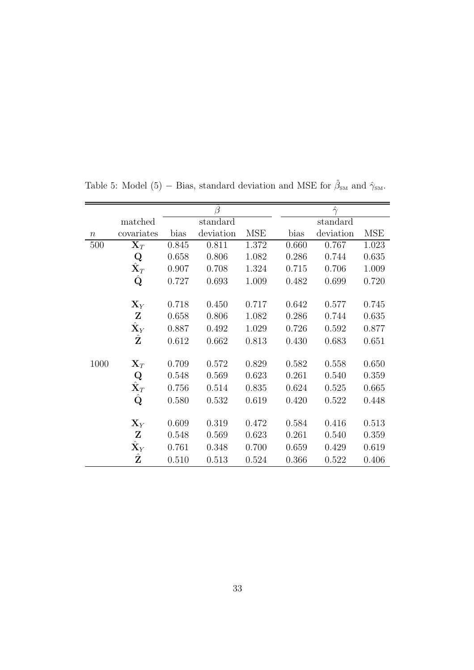|                  |                      |          |           | $\hat{\gamma}$ |       |           |            |
|------------------|----------------------|----------|-----------|----------------|-------|-----------|------------|
|                  | matched              | standard |           |                |       | standard  |            |
| $\boldsymbol{n}$ | covariates           | bias     | deviation | <b>MSE</b>     | bias  | deviation | <b>MSE</b> |
| 500              | $\mathbf{X}_T$       | 0.845    | 0.811     | 1.372          | 0.660 | 0.767     | 1.023      |
|                  | Q                    | 0.658    | 0.806     | 1.082          | 0.286 | 0.744     | 0.635      |
|                  | $\hat{\mathbf{X}}_T$ | 0.907    | 0.708     | 1.324          | 0.715 | 0.706     | 1.009      |
|                  | $\hat{\mathbf{Q}}$   | 0.727    | 0.693     | 1.009          | 0.482 | 0.699     | 0.720      |
|                  | $\mathbf{X}_Y$       | 0.718    | 0.450     | 0.717          | 0.642 | 0.577     | 0.745      |
|                  | $\mathbf{Z}$         | 0.658    | 0.806     | 1.082          | 0.286 | 0.744     | 0.635      |
|                  | $\hat{\mathbf{X}}_Y$ | 0.887    | 0.492     | 1.029          | 0.726 | 0.592     | 0.877      |
|                  | $\hat{\mathbf{Z}}$   | 0.612    | 0.662     | 0.813          | 0.430 | 0.683     | 0.651      |
| 1000             | $\mathbf{X}_T$       | 0.709    | 0.572     | 0.829          | 0.582 | 0.558     | 0.650      |
|                  | $\bf Q$              | 0.548    | 0.569     | 0.623          | 0.261 | 0.540     | 0.359      |
|                  | $\hat{\mathbf{X}}_T$ | 0.756    | 0.514     | 0.835          | 0.624 | 0.525     | 0.665      |
|                  | $\hat{\mathbf{Q}}$   | 0.580    | 0.532     | 0.619          | 0.420 | 0.522     | 0.448      |
|                  | $\mathbf{X}_Y$       | 0.609    | 0.319     | 0.472          | 0.584 | 0.416     | 0.513      |
|                  | $\mathbf{Z}$         | 0.548    | 0.569     | 0.623          | 0.261 | 0.540     | 0.359      |
|                  | $\hat{\mathbf{X}}_Y$ | 0.761    | 0.348     | 0.700          | 0.659 | 0.429     | 0.619      |
|                  | $\hat{\mathbf{Z}}$   | 0.510    | 0.513     | 0.524          | 0.366 | 0.522     | 0.406      |

Table 5: Model (5) – Bias, standard deviation and MSE for  $\hat{\beta}_{SM}$  and  $\hat{\gamma}_{SM}$ .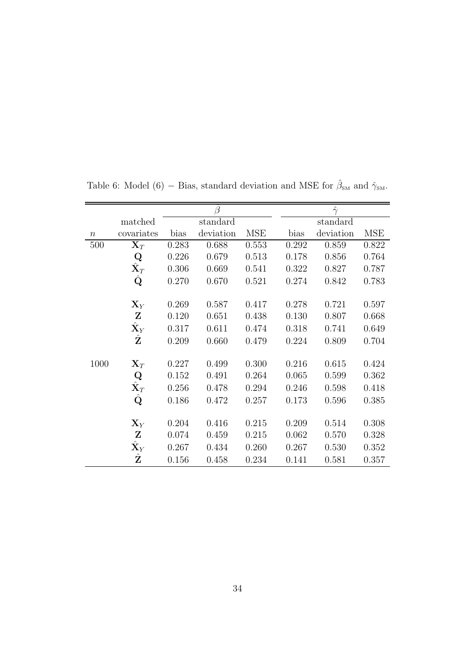|                  |                                         |       | В         |            |       | $\hat{\gamma}$ |            |
|------------------|-----------------------------------------|-------|-----------|------------|-------|----------------|------------|
|                  | matched                                 |       | standard  |            |       | standard       |            |
| $\boldsymbol{n}$ | covariates                              | bias  | deviation | <b>MSE</b> | bias  | deviation      | <b>MSE</b> |
| 500              | $\mathbf{X}_T$                          | 0.283 | 0.688     | 0.553      | 0.292 | 0.859          | 0.822      |
|                  | Q                                       | 0.226 | 0.679     | 0.513      | 0.178 | 0.856          | 0.764      |
|                  | $\hat{\mathbf{X}}_T$                    | 0.306 | 0.669     | 0.541      | 0.322 | 0.827          | 0.787      |
|                  | Q                                       | 0.270 | 0.670     | 0.521      | 0.274 | 0.842          | 0.783      |
|                  | $\mathbf{X}_Y$                          | 0.269 | 0.587     | 0.417      | 0.278 | 0.721          | 0.597      |
|                  | $\mathbf{Z}$                            | 0.120 | 0.651     | 0.438      | 0.130 | 0.807          | 0.668      |
|                  | $\hat{\mathbf{X}}_Y$                    | 0.317 | 0.611     | 0.474      | 0.318 | 0.741          | 0.649      |
|                  | $\hat{\mathbf{Z}}$                      | 0.209 | 0.660     | 0.479      | 0.224 | 0.809          | 0.704      |
| 1000             | $\mathbf{X}_T$                          | 0.227 | 0.499     | 0.300      | 0.216 | 0.615          | 0.424      |
|                  | $\mathbf Q$                             | 0.152 | 0.491     | 0.264      | 0.065 | 0.599          | 0.362      |
|                  | $\hat{\mathbf{X}}_T$ $\hat{\mathbf{Q}}$ | 0.256 | 0.478     | 0.294      | 0.246 | 0.598          | 0.418      |
|                  |                                         | 0.186 | 0.472     | 0.257      | 0.173 | 0.596          | 0.385      |
|                  | $\mathbf{X}_Y$                          | 0.204 | 0.416     | 0.215      | 0.209 | 0.514          | 0.308      |
|                  | $\mathbf{Z}$                            | 0.074 | 0.459     | 0.215      | 0.062 | 0.570          | 0.328      |
|                  | $\hat{\mathbf{X}}_Y$                    | 0.267 | 0.434     | 0.260      | 0.267 | 0.530          | 0.352      |
|                  | $\hat{\mathbf{Z}}$                      | 0.156 | 0.458     | 0.234      | 0.141 | 0.581          | 0.357      |

Table 6: Model (6) – Bias, standard deviation and MSE for  $\hat{\beta}_{\text{SM}}$  and  $\hat{\gamma}_{\text{SM}}$ .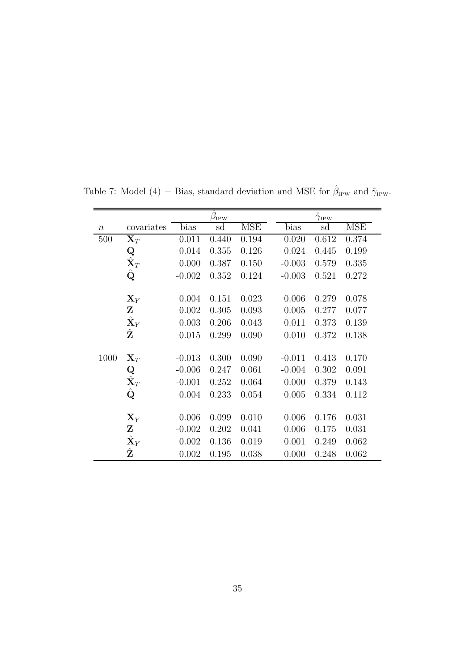|                  |                                            |          | $\hat{\beta}_{\text{IPW}}$ |            |          | $\hat{\gamma}_{\mathrm{IPW}}$ |            |
|------------------|--------------------------------------------|----------|----------------------------|------------|----------|-------------------------------|------------|
| $\boldsymbol{n}$ | covariates                                 | bias     | sd                         | <b>MSE</b> | bias     | sd                            | <b>MSE</b> |
| 500              | $\mathbf{X}_T$                             | 0.011    | 0.440                      | 0.194      | 0.020    | 0.612                         | 0.374      |
|                  | $\operatorname*{Q}_{\hat{\mathbf{X}}_{T}}$ | 0.014    | 0.355                      | 0.126      | 0.024    | 0.445                         | 0.199      |
|                  |                                            | 0.000    | 0.387                      | 0.150      | $-0.003$ | 0.579                         | 0.335      |
|                  | $\hat{\mathbf{Q}}$                         | $-0.002$ | 0.352                      | 0.124      | $-0.003$ | 0.521                         | 0.272      |
|                  |                                            |          |                            |            |          |                               |            |
|                  | $\mathbf{X}_Y$                             | 0.004    | 0.151                      | 0.023      | 0.006    | 0.279                         | 0.078      |
|                  | Z                                          | 0.002    | 0.305                      | 0.093      | 0.005    | 0.277                         | 0.077      |
|                  | $\hat{\mathbf{X}}_Y$                       | 0.003    | 0.206                      | 0.043      | 0.011    | 0.373                         | 0.139      |
|                  | $\hat{\mathbf{Z}}$                         | 0.015    | 0.299                      | 0.090      | 0.010    | 0.372                         | 0.138      |
|                  |                                            |          |                            |            |          |                               |            |
| 1000             | $\mathbf{X}_T$                             | $-0.013$ | 0.300                      | 0.090      | $-0.011$ | 0.413                         | 0.170      |
|                  |                                            | $-0.006$ | 0.247                      | 0.061      | $-0.004$ | 0.302                         | 0.091      |
|                  | $\operatorname*{Q}_{\hat{\mathbf{X}}_{T}}$ | $-0.001$ | 0.252                      | 0.064      | 0.000    | 0.379                         | 0.143      |
|                  | $\hat{\mathbf{Q}}$                         | 0.004    | 0.233                      | 0.054      | 0.005    | 0.334                         | 0.112      |
|                  |                                            |          |                            |            |          |                               |            |
|                  | $\mathbf{X}_Y$                             | 0.006    | 0.099                      | 0.010      | 0.006    | 0.176                         | 0.031      |
|                  | $\mathbf{Z}$                               | $-0.002$ | 0.202                      | 0.041      | 0.006    | 0.175                         | 0.031      |
|                  | $\hat{\mathbf{X}}_Y$                       | 0.002    | 0.136                      | 0.019      | 0.001    | 0.249                         | 0.062      |
|                  | $\hat{\textbf{Z}}$                         | 0.002    | 0.195                      | 0.038      | 0.000    | 0.248                         | 0.062      |

Table 7: Model (4) – Bias, standard deviation and MSE for  $\hat{\beta}_{\text{IPW}}$  and  $\hat{\gamma}_{\text{IPW}}$ .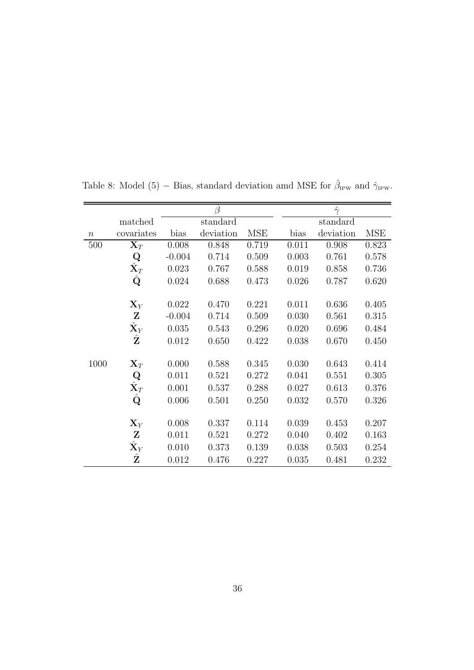|                  |                      |          | Ĝ         |            |       | $\hat{\gamma}$ |            |
|------------------|----------------------|----------|-----------|------------|-------|----------------|------------|
|                  | matched              |          | standard  |            |       | standard       |            |
| $\boldsymbol{n}$ | covariates           | bias     | deviation | <b>MSE</b> | bias  | deviation      | <b>MSE</b> |
| 500              | $\mathbf{X}_T$       | 0.008    | 0.848     | 0.719      | 0.011 | 0.908          | 0.823      |
|                  | $\bf Q$              | $-0.004$ | 0.714     | 0.509      | 0.003 | 0.761          | 0.578      |
|                  | $\hat{\mathbf{X}}_T$ | 0.023    | 0.767     | 0.588      | 0.019 | 0.858          | 0.736      |
|                  | $\hat{\mathbf{Q}}$   | 0.024    | 0.688     | 0.473      | 0.026 | 0.787          | 0.620      |
|                  |                      |          |           |            |       |                |            |
|                  | $\mathbf{X}_Y$       | 0.022    | 0.470     | 0.221      | 0.011 | 0.636          | 0.405      |
|                  | $\mathbf{Z}$         | $-0.004$ | 0.714     | 0.509      | 0.030 | 0.561          | 0.315      |
|                  | $\hat{\mathbf{X}}_Y$ | 0.035    | 0.543     | 0.296      | 0.020 | 0.696          | 0.484      |
|                  | $\hat{\mathbf{Z}}$   | 0.012    | 0.650     | 0.422      | 0.038 | 0.670          | 0.450      |
|                  |                      |          |           |            |       |                |            |
| 1000             | $\mathbf{X}_T$       | 0.000    | 0.588     | 0.345      | 0.030 | 0.643          | 0.414      |
|                  | Q                    | 0.011    | 0.521     | 0.272      | 0.041 | 0.551          | 0.305      |
|                  | $\hat{\mathbf{X}}_T$ | 0.001    | 0.537     | 0.288      | 0.027 | 0.613          | 0.376      |
|                  | $\hat{\mathbf{Q}}$   | 0.006    | 0.501     | 0.250      | 0.032 | 0.570          | 0.326      |
|                  |                      |          |           |            |       |                |            |
|                  | $\mathbf{X}_Y$       | 0.008    | 0.337     | 0.114      | 0.039 | 0.453          | 0.207      |
|                  | $\mathbf{Z}$         | 0.011    | 0.521     | 0.272      | 0.040 | 0.402          | 0.163      |
|                  | $\hat{\mathbf{X}}_Y$ | 0.010    | 0.373     | 0.139      | 0.038 | 0.503          | 0.254      |
|                  | $\hat{\mathbf{Z}}$   | 0.012    | 0.476     | 0.227      | 0.035 | 0.481          | 0.232      |

Table 8: Model (5) – Bias, standard deviation amd MSE for  $\hat{\beta}_{\text{IPW}}$  and  $\hat{\gamma}_{\text{IPW}}$ .